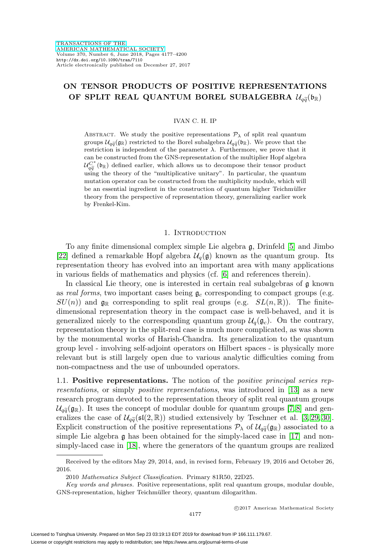# **ON TENSOR PRODUCTS OF POSITIVE REPRESENTATIONS N TENSOR PRODUCTS OF POSITIVE REPRESENTATION**<br>OF SPLIT REAL QUANTUM BOREL SUBALGEBRA  $\mathcal{U}_{q\widetilde{q}}(\mathfrak{b}_\mathbb{R})$

### IVAN C. H. IP

ABSTRACT. We study the positive representations  $P_{\lambda}$  of split real quantum IVAN C. H. IP<br>
ABSTRACT. We study the positive representations  $\mathcal{P}_{\lambda}$  of split real quantum<br>
groups  $\mathcal{U}_{q\widetilde{q}}(\mathfrak{g}_{\mathbb{R}})$  restricted to the Borel subalgebra  $\mathcal{U}_{q\widetilde{q}}(\mathfrak{h}_{\mathbb{R}})$ . We prove that the restriction is independent of the parameter  $\lambda$ . Furthermore, we prove that it can be constructed from the GNS-representation of the multiplier Hopf algebra groups  $\mathcal{U}_{q\bar{q}}(\mathfrak{g}_{\mathbb{R}})$  restricted to the Borel subalgebra  $\mathcal{U}_{q\bar{q}}(\mathfrak{g}_{\mathbb{R}})$ . We prove that the restriction is independent of the parameter  $\lambda$ . Furthermore, we prove that it can be constructed fro using the theory of the "multiplicative unitary". In particular, the quantum mutation operator can be constructed from the multiplicity module, which will be an essential ingredient in the construction of quantum higher Teichmüller theory from the perspective of representation theory, generalizing earlier work by Frenkel-Kim.

#### 1. INTRODUCTION

To any finite dimensional complex simple Lie algebra g, Drinfeld [\[5\]](#page-22-0) and Jimbo [\[22\]](#page-23-0) defined a remarkable Hopf algebra  $\mathcal{U}_q(\mathfrak{g})$  known as the quantum group. Its representation theory has evolved into an important area with many applications in various fields of mathematics and physics (cf. [\[6\]](#page-22-1) and references therein).

In classical Lie theory, one is interested in certain real subalgebras of  $\mathfrak g$  known as real forms, two important cases being  $\mathfrak{g}_c$  corresponding to compact groups (e.g.  $SU(n)$  and  $\mathfrak{g}_{\mathbb{R}}$  corresponding to split real groups (e.g.  $SL(n,\mathbb{R})$ ). The finitedimensional representation theory in the compact case is well-behaved, and it is generalized nicely to the corresponding quantum group  $\mathcal{U}_q(\mathfrak{g}_c)$ . On the contrary, representation theory in the split-real case is much more complicated, as was shown by the monumental works of Harish-Chandra. Its generalization to the quantum group level - involving self-adjoint operators on Hilbert spaces - is physically more relevant but is still largely open due to various analytic difficulties coming from non-compactness and the use of unbounded operators.

1.1. **Positive representations.** The notion of the positive principal series representations, or simply positive representations, was introduced in [\[13\]](#page-22-2) as a new research program devoted to the representation theory of split real quantum groups 1.1. **Positive representations.** The notion of the *positive principal series representations*, or simply *positive representations*, was introduced in [13] as a new research program devoted to the representation theory o resentations, or simply *positive representations*, was introduced in [13] as a new<br>research program devoted to the representation theory of split real quantum groups<br> $\mathcal{U}_{q\tilde{q}}(\mathfrak{g}_{\mathbb{R}})$ . It uses the concept of research program devoted to the representation theory of split  $\mathcal{U}_{q\tilde{q}}(\mathfrak{g}_{\mathbb{R}})$ . It uses the concept of modular double for quantum geralizes the case of  $\mathcal{U}_{q\tilde{q}}(\mathfrak{sl}(2,\mathbb{R}))$  studied extensively by Te Explicit construction of the positive representations  $P_{\lambda}$  of  $\mathcal{U}_{q\tilde{q}}(\mathfrak{g}_{\mathbb{R}})$  associated to a simple Lie algebra  $\mathfrak g$  has been obtained for the simply-laced case in [\[17\]](#page-22-6) and nonsimply-laced case in [\[18\]](#page-22-7), where the generators of the quantum groups are realized

Received by the editors May 29, 2014, and, in revised form, February 19, 2016 and October 26, 2016.

<sup>2010</sup> Mathematics Subject Classification. Primary 81R50, 22D25.

Key words and phrases. Positive representations, split real quantum groups, modular double, GNS-representation, higher Teichmüller theory, quantum dilogarithm.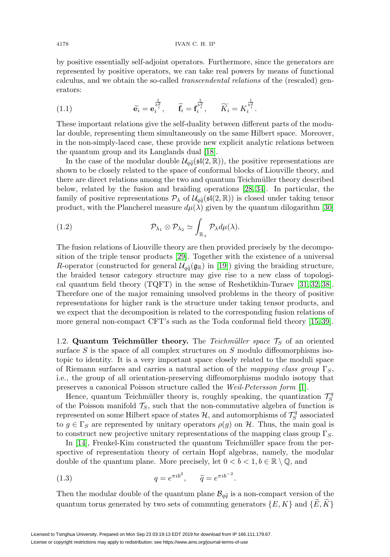by positive essentially self-adjoint operators. Furthermore, since the generators are represented by positive operators, we can take real powers by means of functional calculus, and we obtain the so-called transcendental relations of the (rescaled) generators:

(1.1) 
$$
\widetilde{\mathbf{e}}_i = \mathbf{e}_i^{\frac{1}{b_i^2}}, \quad \widetilde{\mathbf{f}}_i = \mathbf{f}_i^{\frac{1}{b_i^2}}, \quad \widetilde{K}_i = K_i^{\frac{1}{b_i^2}}.
$$

These important relations give the self-duality between different parts of the modular double, representing them simultaneously on the same Hilbert space. Moreover, in the non-simply-laced case, these provide new explicit analytic relations between the quantum group and its Langlands dual [\[18\]](#page-22-7). double, representing them simultaneously on the same Hilbert space. Moreover, the non-simply-laced case, these provide new explicit analytic relations between equantum group and its Langlands dual [18].<br>In the case of the

shown to be closely related to the space of conformal blocks of Liouville theory, and there are direct relations among the two and quantum Teichm¨uller theory described below, related by the fusion and braiding operations [\[28,](#page-23-3) [34\]](#page-23-4). In particular, the shown to be closely related to the space of conformal blocks of Liouville theory, and<br>there are direct relations among the two and quantum Teichmüller theory described<br>below, related by the fusion and braiding operations product, with the Plancherel measure  $d\mu(\lambda)$  given by the quantum dilogarithm [\[30\]](#page-23-2)

(1.2) 
$$
\mathcal{P}_{\lambda_1} \otimes \mathcal{P}_{\lambda_2} \simeq \int_{\mathbb{R}_+} \mathcal{P}_{\lambda} d\mu(\lambda).
$$

The fusion relations of Liouville theory are then provided precisely by the decomposition of the triple tensor products [\[29\]](#page-23-1). Together with the existence of a universal The fusion relations of Liouville theory are then provided precisely by the decomposition of the triple tensor products [29]. Together with the existence of a universal  $R$ -operator (constructed for general  $\mathcal{U}_{q\tilde{q}}$ the braided tensor category structure may give rise to a new class of topological quantum field theory (TQFT) in the sense of Reshetikhin-Turaev [\[31,](#page-23-5) [32,](#page-23-6) [38\]](#page-23-7). Therefore one of the major remaining unsolved problems in the theory of positive representations for higher rank is the structure under taking tensor products, and we expect that the decomposition is related to the corresponding fusion relations of more general non-compact CFT's such as the Toda conformal field theory [\[15,](#page-22-9) [39\]](#page-23-8).

1.2. **Quantum Teichmüller theory.** The Teichmüller space  $\mathcal{T}_S$  of an oriented surface  $S$  is the space of all complex structures on  $S$  modulo diffeomorphisms isotopic to identity. It is a very important space closely related to the moduli space of Riemann surfaces and carries a natural action of the mapping class group  $\Gamma_S$ , i.e., the group of all orientation-preserving diffeomorphisms modulo isotopy that preserves a canonical Poisson structure called the Weil-Petersson form [\[1\]](#page-22-10).

Hence, quantum Teichmüller theory is, roughly speaking, the quantization  $\mathcal{T}_S^q$ of the Poisson manifold  $\mathcal{T}_S$ , such that the non-commutative algebra of function is represented on some Hilbert space of states  $\mathcal{H}$ , and automorphisms of  $\mathcal{T}_S^q$  associated to  $g \in \Gamma_S$  are represented by unitary operators  $\rho(g)$  on H. Thus, the main goal is to construct new projective unitary representations of the mapping class group  $\Gamma_S$ .

In  $[14]$ , Frenkel-Kim constructed the quantum Teichmüller space from the perspective of representation theory of certain Hopf algebras, namely, the modular double of the quantum plane. More precisely, let  $0 < b < 1, b \in \mathbb{R} \setminus \mathbb{Q}$ , and

(1.3) 
$$
q = e^{\pi i b^2}, \quad \tilde{q} = e^{\pi i b^{-2}}.
$$

(1.3)  $q = e^{\pi i b^2}$ ,  $\tilde{q} = e^{\pi i b^{-2}}$ .<br>Then the modular double of the quantum plane  $\mathcal{B}_{q\tilde{q}}$  is a non-compact version of the quantum torus generated by two sets of commuting generators  $\{E, K\}$  and  $\{E, K\}$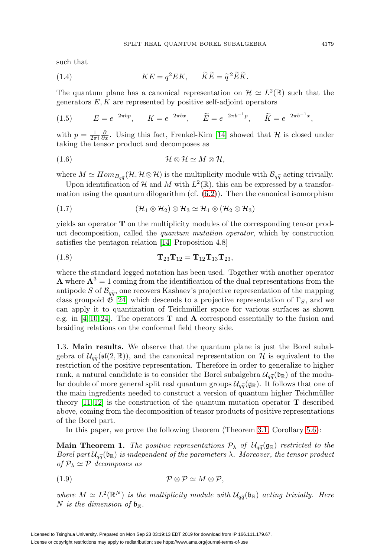such that

(1.4) 
$$
KE = q^2 E K, \qquad \widetilde{K} \widetilde{E} = \widetilde{q}^2 \widetilde{E} \widetilde{K}.
$$

The quantum plane has a canonical representation on  $\mathcal{H} \simeq L^2(\mathbb{R})$  such that the generators  $E, K$  are represented by positive self-adjoint operators

(1.5) 
$$
E = e^{-2\pi b p}
$$
,  $K = e^{-2\pi bx}$ ,  $\widetilde{E} = e^{-2\pi b^{-1} p}$ ,  $\widetilde{K} = e^{-2\pi b^{-1} x}$ ,

with  $p = \frac{1}{2\pi i} \frac{\partial}{\partial x}$ . Using this fact, Frenkel-Kim [\[14\]](#page-22-11) showed that  $\mathcal H$  is closed under taking the tensor product and decomposes as

$$
(1.6) \t\t\t\t\mathcal{H} \otimes \mathcal{H} \simeq M \otimes \mathcal{H},
$$

(1.6)  $\mathcal{H} \otimes \mathcal{H} \simeq M \otimes \mathcal{H},$ <br>where  $M \simeq Hom_{B_{q\tilde{q}}}(\mathcal{H}, \mathcal{H} \otimes \mathcal{H})$  is the multiplicity module with  $\mathcal{B}_{q\tilde{q}}$  acting trivially.

Upon identification of H and M with  $L^2(\mathbb{R})$ , this can be expressed by a transformation using the quantum dilogarithm (cf.  $(6.2)$ ). Then the canonical isomorphism

(1.7) 
$$
(\mathcal{H}_1 \otimes \mathcal{H}_2) \otimes \mathcal{H}_3 \simeq \mathcal{H}_1 \otimes (\mathcal{H}_2 \otimes \mathcal{H}_3)
$$

yields an operator **T** on the multiplicity modules of the corresponding tensor product decomposition, called the quantum mutation operator, which by construction satisfies the pentagon relation [\[14,](#page-22-11) Proposition 4.8]

(1.8) 
$$
\mathbf{T}_{23}\mathbf{T}_{12} = \mathbf{T}_{12}\mathbf{T}_{13}\mathbf{T}_{23},
$$

where the standard legged notation has been used. Together with another operator **A** where  $A^3 = 1$  coming from the identification of the dual representations from the where the standar<br> **A** where  $\mathbf{A}^3 = 1$  contipode S of  $\mathcal{B}_{q\tilde{q}}$ antipode S of  $\mathcal{B}_{q\tilde{q}}$ , one recovers Kashaev's projective representation of the mapping class groupoid  $\mathfrak{G}$  [\[24\]](#page-23-9) which descends to a projective representation of  $\Gamma_S$ , and we can apply it to quantization of Teichmüller space for various surfaces as shown e.g. in [\[4,](#page-22-12) [10,](#page-22-13) [24\]](#page-23-9). The operators **T** and **A** correspond essentially to the fusion and braiding relations on the conformal field theory side.

1.3. **Main results.** We observe that the quantum plane is just the Borel subalbraiding relations on the conformal field theory side.<br>
1.3. Main results. We observe that the quantum plane is just the Borel subal-<br>
gebra of  $\mathcal{U}_{q\bar{q}}(\mathfrak{sl}(2,\mathbb{R}))$ , and the canonical representation on H is equiva restriction of the positive representation. Therefore in order to generalize to higher 1.3. **Main results.** We observe that the quantum plane is just the Borel subalgebra of  $\mathcal{U}_{q\bar{q}}(\mathfrak{sl}(2,\mathbb{R}))$ , and the canonical representation on  $\mathcal H$  is equivalent to the restriction of the positive representati gebra of  $\mathcal{U}_{q\bar{q}}(\mathfrak{sl}(2,\mathbb{K}))$ , and the canonical representation<br>restriction of the positive representation. Therefore in or<br>rank, a natural candidate is to consider the Borel subalg<br>lar double of more general spli lar double of more general split real quantum groups  $\mathcal{U}_{q\bar{q}}(\mathfrak{g}_{\mathbb{R}})$ . It follows that one of the main ingredients needed to construct a version of quantum higher Teichmüller theory  $[11, 12]$  $[11, 12]$  is the construction of the quantum mutation operator **T** described above, coming from the decomposition of tensor products of positive representations of the Borel part.

In this paper, we prove the following theorem (Theorem [3.1,](#page-11-0) Corollary [5.6\)](#page-19-0):

of the Borel part.<br>
In this paper, we prove the following theorem (Theorem 3.1, Corollary 5.6):<br> **Main Theorem 1.** The positive representations  $P_{\lambda}$  of  $U_{q\tilde{q}}(g_{\mathbb{R}})$  restricted to the In this pap<br> **Main Theor**<br> *Borel part*  $\mathcal{U}_{q\widetilde{q}}$ Borel part  $\mathcal{U}_{q\bar{q}}(\mathfrak{b}_{\mathbb{R}})$  is independent of the parameters  $\lambda$ . Moreover, the tensor product of  $P_{\lambda} \simeq P$  decomposes as

$$
(1.9) \t\t\t\t\t \mathcal{P} \otimes \mathcal{P} \simeq M \otimes \mathcal{P},
$$

(1.9)<br>  $\mathcal{P} \otimes \mathcal{P} \simeq M \otimes \mathcal{P},$ <br>
where  $M \simeq L^2(\mathbb{R}^N)$  is the multiplicity module with  $\mathcal{U}_{q\tilde{q}}(\mathfrak{b}_{\mathbb{R}})$  acting trivially. Here N is the dimension of  $\mathfrak{b}_\mathbb{R}$ .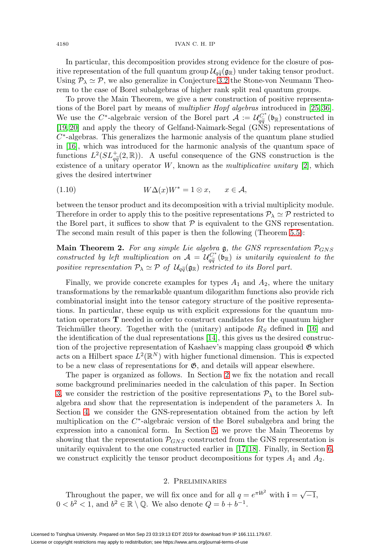In particular, this decomposition provides strong evidence for the closure of pos-<sup>1180</sup> IVAN C. H. IP<br>
In particular, this decomposition provides strong evidence for the closure of pos-<br>
itive representation of the full quantum group  $\mathcal{U}_{q\widetilde{q}}(\mathfrak{g}_{\mathbb{R}})$  under taking tensor product. Using  $P_{\lambda} \simeq P$ , we also generalize in Conjecture [3.2](#page-11-1) the Stone-von Neumann Theorem to the case of Borel subalgebras of higher rank split real quantum groups.

To prove the Main Theorem, we give a new construction of positive representations of the Borel part by means of *multiplier Hopf algebras* introduced in [\[25,](#page-23-10) [36\]](#page-23-11). To prove the Main Theorem, we give a new construction of positive representa-<br>tions of the Borel part by means of *multiplier Hopf algebras* introduced in [25, 36].<br>We use the C<sup>∗</sup>-algebraic version of the Borel part  $A := \$ [\[19,](#page-22-8) [20\]](#page-23-12) and apply the theory of Gelfand-Naimark-Segal (GNS) representations of  $C^*$ -algebras. This generalizes the harmonic analysis of the quantum plane studied in [\[16\]](#page-22-16), which was introduced for the harmonic analysis of the quantum space of [19, 20] and apply the theory of Gehald-Namilar Segal (GNS) representations of  $C^*$ -algebras. This generalizes the harmonic analysis of the quantum plane studied in [16], which was introduced for the harmonic analysis of existence of a unitary operator  $W$ , known as the *multiplicative unitary* [\[2\]](#page-22-17), which gives the desired intertwiner

$$
(1.10) \t W\Delta(x)W^* = 1 \otimes x, \t x \in \mathcal{A},
$$

between the tensor product and its decomposition with a trivial multiplicity module. Therefore in order to apply this to the positive representations  $P_{\lambda} \simeq P$  restricted to the Borel part, it suffices to show that  $P$  is equivalent to the GNS representation. The second main result of this paper is then the following (Theorem [5.5\)](#page-19-1):

**Main Theorem 2.** For any simple Lie algebra  $\mathfrak{g}$ , the GNS representation  $\mathcal{P}_{GNS}$ The second main result of this paper is then the following (Theorem 5.5):<br> **Main Theorem 2.** For any simple Lie algebra **g**, the GNS representation  $\mathcal{P}_{GNS}$ <br>
constructed by left multiplication on  $\mathcal{A} = \mathcal{U}_{q\tilde{q}}^{$ **Main Theorem 2.** For any simple I<br>constructed by left multiplication on .<br>positive representation  $\mathcal{P}_{\lambda} \simeq \mathcal{P}$  of  $\mathcal{U}_{q\tilde{q}}$ positive representation  $P_{\lambda} \simeq \mathcal{P}$  of  $\mathcal{U}_{q\tilde{q}}(\mathfrak{g}_{\mathbb{R}})$  restricted to its Borel part.

Finally, we provide concrete examples for types  $A_1$  and  $A_2$ , where the unitary transformations by the remarkable quantum dilogarithm functions also provide rich combinatorial insight into the tensor category structure of the positive representations. In particular, these equip us with explicit expressions for the quantum mutation operators **T** needed in order to construct candidates for the quantum higher Teichmüller theory. Together with the (unitary) antipode  $R<sub>S</sub>$  defined in [\[16\]](#page-22-16) and the identification of the dual representations [\[14\]](#page-22-11), this gives us the desired construction of the projective representation of Kashaev's mapping class groupoid  $\mathfrak{G}$  which acts on a Hilbert space  $L^2(\mathbb{R}^N)$  with higher functional dimension. This is expected to be a new class of representations for  $\mathfrak{G}$ , and details will appear elsewhere.

The paper is organized as follows. In Section [2](#page-3-0) we fix the notation and recall some background preliminaries needed in the calculation of this paper. In Section [3,](#page-10-0) we consider the restriction of the positive representations  $P_{\lambda}$  to the Borel subalgebra and show that the representation is independent of the parameters  $\lambda$ . In Section [4,](#page-11-2) we consider the GNS-representation obtained from the action by left multiplication on the  $C^*$ -algebraic version of the Borel subalgebra and bring the expression into a canonical form. In Section [5,](#page-17-0) we prove the Main Theorems by showing that the representation  $P_{GNS}$  constructed from the GNS representation is unitarily equivalent to the one constructed earlier in [\[17,](#page-22-6) [18\]](#page-22-7). Finally, in Section [6,](#page-19-2) we construct explicitly the tensor product decompositions for types  $A_1$  and  $A_2$ .

## 2. Preliminaries

<span id="page-3-0"></span>Throughout the paper, we will fix once and for all  $q = e^{\pi i b^2}$  with  $\mathbf{i} = \sqrt{-1}$ ,  $0 < b<sup>2</sup> < 1$ , and  $b<sup>2</sup> \in \mathbb{R} \setminus \mathbb{Q}$ . We also denote  $Q = b + b^{-1}$ .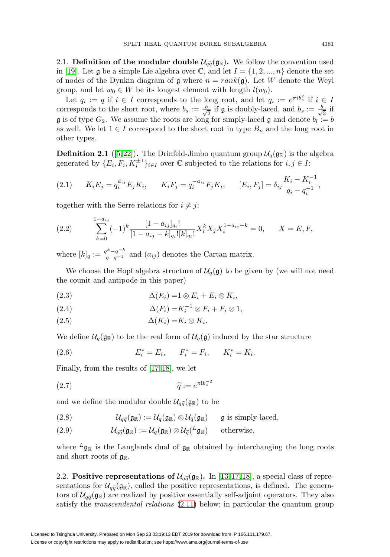**2.1. Definition of the modular double**  $\mathcal{U}_{q\tilde{q}}(\mathfrak{g}_{\mathbb{R}})$ **. We follow the convention used** in [\[19\]](#page-22-8). Let g be a simple Lie algebra over  $\mathbb{C}$ , and let  $I = \{1, 2, ..., n\}$  denote the set of nodes of the Dynkin diagram of g where  $n = rank(g)$ . Let W denote the Weyl group, and let  $w_0 \in W$  be its longest element with length  $l(w_0)$ .

Let  $q_i := q$  if  $i \in I$  corresponds to the long root, and let  $q_i := e^{\pi i b_s^2}$  if  $i \in I$ corresponds to the short root, where  $b_s := \frac{b}{\sqrt{2}}$  if  $\mathfrak g$  is doubly-laced, and  $b_s := \frac{b}{\sqrt{3}}$  if  $\mathfrak g$  is of type  $G_2$ . We assume the roots are long for simply-laced  $\mathfrak g$  and denote  $b_l := b$ as well. We let  $1 \in I$  correspond to the short root in type  $B_n$  and the long root in other types.

**Definition 2.1** ([\[5,](#page-22-0)22]). The Drinfeld-Jimbo quantum group  $\mathcal{U}_q(\mathfrak{g}_{\mathbb{R}})$  is the algebra generated by  $\{E_i, F_i, K_i^{\pm 1}\}_{i \in I}$  over  $\mathbb C$  subjected to the relations for  $i, j \in I$ :

(2.1) 
$$
K_i E_j = q_i^{a_{ij}} E_j K_i, \qquad K_i F_j = q_i^{-a_{ij}} F_j K_i, \qquad [E_i, F_j] = \delta_{ij} \frac{K_i - K_i^{-1}}{q_i - q_i^{-1}},
$$

together with the Serre relations for  $i \neq j$ :

(2.2) 
$$
\sum_{k=0}^{1-a_{ij}} (-1)^k \frac{[1-a_{ij}]_{q_i}!}{[1-a_{ij}-k]_{q_i}![k]_{q_i}!} X_i^k X_j X_i^{1-a_{ij}-k} = 0, \qquad X = E, F,
$$

where  $[k]_q := \frac{q^k - q^{-k}}{q - q^{-1}}$  and  $(a_{ij})$  denotes the Cartan matrix.

We choose the Hopf algebra structure of  $\mathcal{U}_q(\mathfrak{g})$  to be given by (we will not need the counit and antipode in this paper)

(2.3) 
$$
\Delta(E_i) = 1 \otimes E_i + E_i \otimes K_i,
$$

(2.4) 
$$
\Delta(F_i) = K_i^{-1} \otimes F_i + F_i \otimes 1,
$$

$$
\Delta(K_i) = K_i \otimes K_i.
$$

We define  $\mathcal{U}_q(\mathfrak{g}_{\mathbb{R}})$  to be the real form of  $\mathcal{U}_q(\mathfrak{g})$  induced by the star structure

(2.6) 
$$
E_i^* = E_i, \qquad F_i^* = F_i, \qquad K_i^* = K_i.
$$

Finally, from the results of [\[17,](#page-22-6) [18\]](#page-22-7), we let

(2.7) 
$$
\widetilde{q} := e^{\pi i b_s^{-2}}
$$
  
and we define the modular double  $\mathcal{U}_{q\widetilde{q}}(\mathfrak{g}_{\mathbb{R}})$  to be

and we define the modular double 
$$
\mathcal{U}_{q\bar{q}}(\mathfrak{g}_{\mathbb{R}})
$$
 to be  
\n(2.8) 
$$
\mathcal{U}_{q\bar{q}}(\mathfrak{g}_{\mathbb{R}}) := \mathcal{U}_{q}(\mathfrak{g}_{\mathbb{R}}) \otimes \mathcal{U}_{\bar{q}}(\mathfrak{g}_{\mathbb{R}}) \quad \text{g is simply-laced},
$$
\n(2.9) 
$$
\mathcal{U}_{q\bar{q}}(\mathfrak{g}_{\mathbb{R}}) := \mathcal{U}_{q}(\mathfrak{g}_{\mathbb{R}}) \otimes \mathcal{U}_{\bar{q}}(L_{\mathfrak{g}_{\mathbb{R}}}) \quad \text{otherwise},
$$

where  ${}^L\mathfrak{g}_\mathbb{R}$  is the Langlands dual of  $\mathfrak{g}_\mathbb{R}$  obtained by interchanging the long roots and short roots of  $\mathfrak{g}_{\mathbb{R}}$ . where  $\mathbf{y}_{\mathbb{R}}$  is the Langlands dual of  $\mathbf{y}_{\mathbb{R}}$  obtained by interchanging the long loots and short roots of  $\mathbf{g}_{\mathbb{R}}$ .<br>2.2. **Positive representations of**  $\mathcal{U}_{q\tilde{q}}(\mathbf{g}_{\mathbb{R}})$ . In [\[13,](#page-22-2)17,18], a sp

and short roots of<br>2.2. **Positive rep**<br>sentations for  $\mathcal{U}_{q\widetilde{q}}$ sentations for  $\mathcal{U}_{q\tilde{q}}(\mathfrak{g}_{\mathbb{R}})$ , called the positive representations, is defined. The genera-2.2. **Posit**<br>sentations<br>tors of  $\mathcal{U}_{q\tilde{q}}$ tors of  $\mathcal{U}_{q\tilde{q}}(\mathfrak{g}_{\mathbb{R}})$  are realized by positive essentially self-adjoint operators. They also satisfy the transcendental relations [\(2.11\)](#page-5-0) below; in particular the quantum group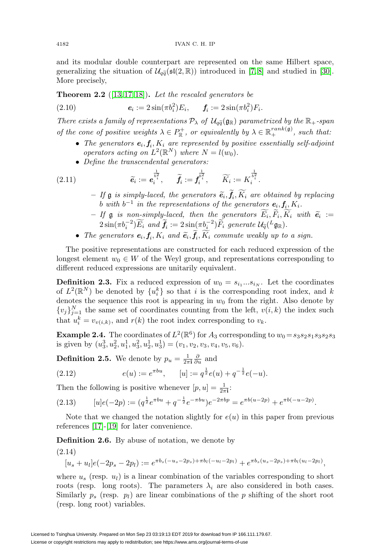and its modular double counterpart are represented on the same Hilbert space, <sup>4182</sup><br>and its modular double counterpart are represented on the same Hilbert space,<br>generalizing the situation of  $\mathcal{U}_{q\tilde{q}}(\mathfrak{sl}(2,\mathbb{R}))$  introduced in [\[7,](#page-22-3)8] and studied in [\[30\]](#page-23-2). More precisely,

**Theorem 2.2** ([\[13,](#page-22-2) [17,](#page-22-6) [18\]](#page-22-7)). Let the rescaled generators be

(2.10) 
$$
e_i := 2\sin(\pi b_i^2) E_i, \quad f_i := 2\sin(\pi b_i^2) F_i.
$$

**Theorem 2.2** ([13,17,18]). Let the rescaled generators be<br>
(2.10)  $e_i := 2\sin(\pi b_i^2) E_i$ ,  $f_i := 2\sin(\pi b_i^2) F_i$ .<br>
There exists a family of representations  $\mathcal{P}_\lambda$  of  $\mathcal{U}_{q\tilde{q}}(g_\mathbb{R})$  parametrized by the  $\mathbb{R}_+$ -span of the cone of positive weights  $\lambda \in P_{\mathbb{R}}^+$ , or equivalently by  $\lambda \in \mathbb{R}_+^{rank(\mathfrak{g})}$ , such that:

- The generators  $e_i, f_i, K_i$  are represented by positive essentially self-adjoint operators acting on  $L^2(\mathbb{R}^N)$  where  $N = l(w_0)$ .
- Define the transcendental generators:

<span id="page-5-0"></span>(2.11) 
$$
\widetilde{e}_i := e_i^{\frac{1}{b_i^2}}, \quad \widetilde{f}_i := f_i^{\frac{1}{b_i^2}}, \quad \widetilde{K}_i := K_i^{\frac{1}{b_i^2}}.
$$

- $\mathcal{F} = \iint \mathfrak{g}$  is simply-laced, the generators  $\widetilde{e}_i, f_i, K_i$  are obtained by replacing <br>b with  $h^{-1}$  in the representations of the generators  $e_i$ ,  $f_i$ ,  $K_i$ b with  $b^{-1}$  in the representations of the generators  $e_i, f_i, K_i$ .
- $\tilde{f} = \iint_{\mathcal{B}} \tilde{g}$  is non-simply-laced, then the generators  $E_i, F_i, K_i$  with  $\tilde{e}_i := 2 \sin(\pi k^{-2}) \tilde{F}$  and  $\tilde{f} = 2 \sin(\pi k^{-2}) \tilde{F}$  are generate  $\mathcal{H}(k, \mathbf{z})$ .  $\hat{L}_i$  is simply-lacta, the generators  $\hat{\mathbf{e}}_i$ ,  $\hat{\mathbf{j}}_i$ ,  $\hat{\mathbf{h}}_i$  are botantic <br>  $\hat{L}_i$  of  $\hat{\mathbf{g}}$  is non-simply-laced, then the generators  $\hat{E}_i$ ,  $\hat{F}_i$ ,  $\hat{F}_i$ <br>  $\hat{L}_i$   $\hat{\mathbf{f}}_i$  is non-si
- The generators  $e_i, f_i, K_i$  and  $\tilde{e}_i, f_i, K_i$  commute weakly up to a sign.

The positive representations are constructed for each reduced expression of the longest element  $w_0 \in W$  of the Weyl group, and representations corresponding to different reduced expressions are unitarily equivalent.

<span id="page-5-2"></span>**Definition 2.3.** Fix a reduced expression of  $w_0 = s_{i_1}...s_{i_N}$ . Let the coordinates of  $L^2(\mathbb{R}^N)$  be denoted by  $\{u_i^k\}$  so that i is the corresponding root index, and k denotes the sequence this root is appearing in  $w_0$  from the right. Also denote by  ${v_j}_{j=1}^N$  the same set of coordinates counting from the left,  $v(i,k)$  the index such that  $u_i^k = v_{v(i,k)}$ , and  $r(k)$  the root index corresponding to  $v_k$ .

**Example 2.4.** The coordinates of  $L^2(\mathbb{R}^6)$  for  $A_3$  corresponding to  $w_0 = s_3s_2s_1s_3s_2s_3$ is given by  $(u_3^3, u_2^2, u_1^1, u_3^2, u_2^1, u_3^1) = (v_1, v_2, v_3, v_4, v_5, v_6).$ 

**Definition 2.5.** We denote by  $p_u = \frac{1}{2\pi i} \frac{\partial}{\partial u}$  and

(2.12) 
$$
e(u) := e^{\pi bu}, \qquad [u] := q^{\frac{1}{2}}e(u) + q^{-\frac{1}{2}}e(-u).
$$

Then the following is positive whenever  $[p, u] = \frac{1}{2\pi i}$ :

<span id="page-5-3"></span>
$$
(2.13) \qquad [u]e(-2p) := (q^{\frac{1}{2}}e^{\pi bu} + q^{-\frac{1}{2}}e^{-\pi bu})e^{-2\pi bp} = e^{\pi b(u-2p)} + e^{\pi b(-u-2p)}.
$$

Note that we changed the notation slightly for  $e(u)$  in this paper from previous references [\[17\]](#page-22-6)-[\[19\]](#page-22-8) for later convenience.

<span id="page-5-1"></span>**Definition 2.6.** By abuse of notation, we denote by

$$
(2.14)
$$

$$
[u_s + u_l]e(-2p_s - 2p_l) := e^{\pi b_s(-u_s - 2p_s) + \pi b_l(-u_l - 2p_l)} + e^{\pi b_s(u_s - 2p_s) + \pi b_l(u_l - 2p_l)}
$$

,

where  $u_s$  (resp.  $u_l$ ) is a linear combination of the variables corresponding to short roots (resp. long roots). The parameters  $\lambda_i$  are also considered in both cases. Similarly  $p_s$  (resp.  $p_l$ ) are linear combinations of the p shifting of the short root (resp. long root) variables.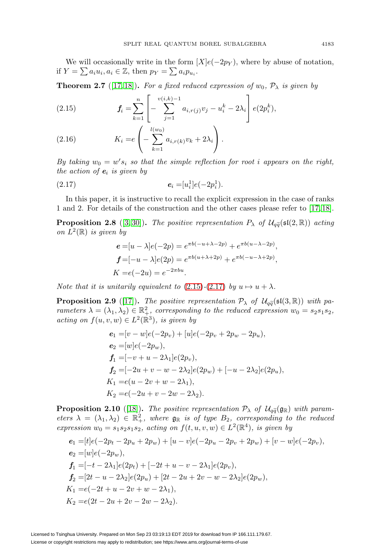We will occasionally write in the form  $[X]e(-2p_Y)$ , where by abuse of notation, if  $Y = \sum a_i u_i, a_i \in \mathbb{Z}$ , then  $p_Y = \sum a_i p_{u_i}$ .

<span id="page-6-5"></span>**Theorem 2.7** ([\[17,](#page-22-6)18]). For a fixed reduced expression of  $w_0$ ,  $\mathcal{P}_{\lambda}$  is given by

<span id="page-6-0"></span>(2.15) 
$$
f_i = \sum_{k=1}^n \left[ - \sum_{j=1}^{v(i,k)-1} a_{i,r(j)} v_j - u_i^k - 2\lambda_i \right] e(2p_i^k),
$$

(2.16) 
$$
K_i = e\left(-\sum_{k=1}^{l(w_0)} a_{i,r(k)}v_k + 2\lambda_i\right).
$$

By taking  $w_0 = w's_i$  so that the simple reflection for root i appears on the right, the action of  $e_i$  is given by

<span id="page-6-1"></span>
$$
(2.17) \t\t e_i = [u_i^1]e(-2p_i^1).
$$

In this paper, it is instructive to recall the explicit expression in the case of ranks 1 and 2. For details of the construction and the other cases please refer to [\[17,](#page-22-6) [18\]](#page-22-7). In this paper, it is instructive to recall the explicit expression in the case of ranks 1 and 2. For details of the construction and the other cases please refer to [17, 18].<br>**Proposition 2.8** ([\[3,](#page-22-5) [30\]](#page-23-2)). The positive repr

<span id="page-6-2"></span>on  $L^2(\mathbb{R})$  is given by

$$
e = [u - \lambda]e(-2p) = e^{\pi b(-u + \lambda - 2p)} + e^{\pi b(u - \lambda - 2p)},
$$
  
\n
$$
f = [-u - \lambda]e(2p) = e^{\pi b(u + \lambda + 2p)} + e^{\pi b(-u - \lambda + 2p)},
$$
  
\n
$$
K = e(-2u) = e^{-2\pi bu}.
$$

<span id="page-6-3"></span>Note that it is unitarily equivalent to  $(2.15)-(2.17)$  $(2.15)-(2.17)$  $(2.15)-(2.17)$  by  $u \mapsto u + \lambda$ .

**Proposition 2.9** ([\[17\]](#page-22-6))**.** The positive representation  $P_{\lambda}$  of  $U_{q\tilde{q}}(\mathfrak{sl}(3,\mathbb{R}))$  with pa-<br>**Proposition 2.9** ([17]). The positive representation  $P_{\lambda}$  of  $U_{q\tilde{q}}(\mathfrak{sl}(3,\mathbb{R}))$  with parameters  $\lambda = (\lambda_1, \lambda_2) \in \mathbb{R}^2_+$ , corresponding to the reduced expression  $w_0 = s_2 s_1 s_2$ , acting on  $f(u, v, w) \in L^2(\mathbb{R}^3)$ , is given by

$$
e_1 = [v - w]e(-2p_v) + [u]e(-2p_v + 2p_w - 2p_u),
$$
  
\n
$$
e_2 = [w]e(-2p_w),
$$
  
\n
$$
f_1 = [-v + u - 2\lambda_1]e(2p_v),
$$
  
\n
$$
f_2 = [-2u + v - w - 2\lambda_2]e(2p_w) + [-u - 2\lambda_2]e(2p_u),
$$
  
\n
$$
K_1 = e(u - 2v + w - 2\lambda_1),
$$
  
\n
$$
K_2 = e(-2u + v - 2w - 2\lambda_2).
$$
  
\nProposition 2.10 ([18]). The positive representation  $\mathcal{P}_\lambda$  of  $\mathcal{U}_{q\bar{q}}(\mathfrak{g}_{\mathbb{R}})$  with param-

<span id="page-6-4"></span>eters  $\lambda = (\lambda_1, \lambda_2) \in \mathbb{R}^2_+$ , where  $\mathfrak{g}_{\mathbb{R}}$  is of type  $B_2$ , corresponding to the reduced expression  $w_0 = s_1 s_2 s_1 s_2$ , acting on  $f(t, u, v, w) \in L^2(\mathbb{R}^4)$ , is given by

$$
e_1 = [t]e(-2p_t - 2p_u + 2p_w) + [u - v]e(-2p_u - 2p_v + 2p_w) + [v - w]e(-2p_v),
$$
  
\n
$$
e_2 = [w]e(-2p_w),
$$
  
\n
$$
f_1 = [-t - 2\lambda_1]e(2p_t) + [-2t + u - v - 2\lambda_1]e(2p_v),
$$
  
\n
$$
f_2 = [2t - u - 2\lambda_2]e(2p_u) + [2t - 2u + 2v - w - 2\lambda_2]e(2p_w),
$$
  
\n
$$
K_1 = e(-2t + u - 2v + w - 2\lambda_1),
$$
  
\n
$$
K_2 = e(2t - 2u + 2v - 2w - 2\lambda_2).
$$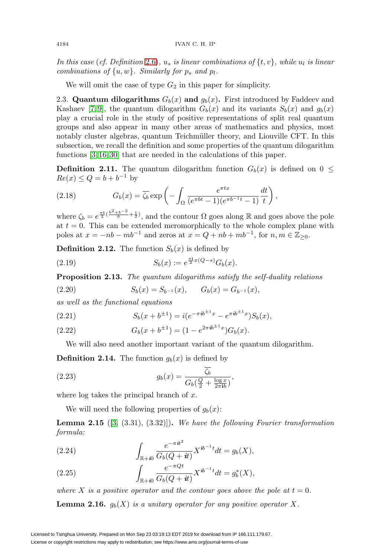In this case (cf. Definition [2.6\)](#page-5-1),  $u_s$  is linear combinations of  $\{t, v\}$ , while  $u_l$  is linear combinations of  $\{u, w\}$ . Similarly for  $p_s$  and  $p_l$ .

We will omit the case of type  $G_2$  in this paper for simplicity.

2.3. **Quantum dilogarithms**  $G_b(x)$  and  $g_b(x)$ . First introduced by Faddeev and Kashaev [\[7,](#page-22-3) [9\]](#page-22-18), the quantum dilogarithm  $G_b(x)$  and its variants  $S_b(x)$  and  $g_b(x)$ play a crucial role in the study of positive representations of split real quantum groups and also appear in many other areas of mathematics and physics, most notably cluster algebras, quantum Teichmüller theory, and Liouville CFT. In this subsection, we recall the definition and some properties of the quantum dilogarithm functions [\[3,](#page-22-5) [16,](#page-22-16) [30\]](#page-23-2) that are needed in the calculations of this paper.

**Definition 2.11.** The quantum dilogarithm function  $G_b(x)$  is defined on  $0 \leq$  $Re(x) \le Q = b + b^{-1}$  by

(2.18) 
$$
G_b(x) = \overline{\zeta_b} \exp\left(-\int_{\Omega} \frac{e^{\pi tx}}{(e^{\pi bt} - 1)(e^{\pi b^{-1}t} - 1)} \frac{dt}{t}\right),
$$

where  $\zeta_b = e^{\frac{\pi i}{2}(\frac{b^2+b^{-2}}{6}+\frac{1}{2})}$ , and the contour  $\Omega$  goes along R and goes above the pole at  $t = 0$ . This can be extended meromorphically to the whole complex plane with poles at  $x = -nb - mb^{-1}$  and zeros at  $x = Q + nb + mb^{-1}$ , for  $n, m \in \mathbb{Z}_{\geq 0}$ .

<span id="page-7-0"></span>**Definition 2.12.** The function  $S_b(x)$  is defined by

(2.19) 
$$
S_b(x) := e^{\frac{\pi i}{2}x(Q-s)} G_b(x).
$$

**Proposition 2.13.** The quantum dilogarithms satisfy the self-duality relations

(2.20) 
$$
S_b(x) = S_{b^{-1}}(x), \qquad G_b(x) = G_{b^{-1}}(x),
$$

as well as the functional equations

<span id="page-7-1"></span>(2.21) 
$$
S_b(x+b^{\pm 1}) = i(e^{-\pi i b^{\pm 1}x} - e^{\pi i b^{\pm 1}x})S_b(x),
$$

(2.22) 
$$
G_b(x+b^{\pm 1}) = (1-e^{2\pi i b^{\pm 1}x})G_b(x).
$$

We will also need another important variant of the quantum dilogarithm.

**Definition 2.14.** The function  $g_b(x)$  is defined by

(2.23) 
$$
g_b(x) = \frac{\zeta_b}{G_b(\frac{Q}{2} + \frac{\log x}{2\pi i b})},
$$

where  $\log$  takes the principal branch of x.

We will need the following properties of  $g_b(x)$ :

<span id="page-7-2"></span>**Lemma 2.15** ([\[3,](#page-22-5) (3.31), (3.32)])**.** We have the following Fourier transformation formula:

(2.24) 
$$
\int_{\mathbb{R}+i0} \frac{e^{-\pi i t^2}}{G_b(Q+it)} X^{ib^{-1}t} dt = g_b(X),
$$

(2.25) 
$$
\int_{\mathbb{R}+i0} \frac{e^{-\pi Qt}}{G_b(Q+it)} X^{ib^{-1}t} dt = g_b^*(X),
$$

where X is a positive operator and the contour goes above the pole at  $t = 0$ .

**Lemma 2.16.**  $q_b(X)$  is a unitary operator for any positive operator X.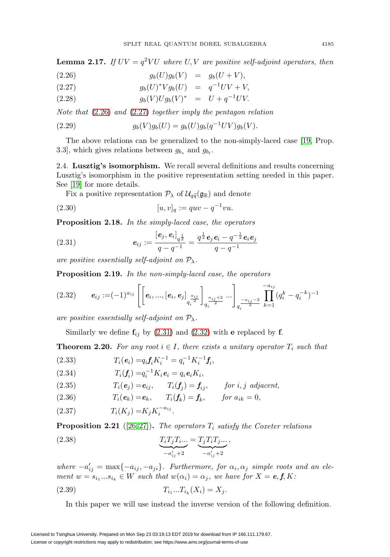<span id="page-8-3"></span>**Lemma 2.17.** If  $UV = q^2 VU$  where U, V are positive self-adjoint operators, then

<span id="page-8-0"></span>(2.26) 
$$
g_b(U)g_b(V) = g_b(U+V),
$$

(2.27) 
$$
g_b(U)^* V g_b(U) = q^{-1} UV + V,
$$

(2.28) 
$$
g_b(V)Ug_b(V)^* = U + q^{-1}UV.
$$

Note that [\(2.26\)](#page-8-0) and [\(2.27\)](#page-8-0) together imply the pentagon relation

<span id="page-8-6"></span>(2.29) 
$$
g_b(V)g_b(U) = g_b(U)g_b(q^{-1}UV)g_b(V).
$$

The above relations can be generalized to the non-simply-laced case [\[19,](#page-22-8) Prop. 3.3], which gives relations between  $g_{b_s}$  and  $g_{b_l}$ .

2.4. **Lusztig's isomorphism.** We recall several definitions and results concerning Lusztig's isomorphism in the positive representation setting needed in this paper. See [\[19\]](#page-22-8) for more details. **Lusztig's isomorphism.** We recall<br>sztig's isomorphism in the positive rep<br>e [19] for more details.<br>Fix a positive representation  $\mathcal{P}_{\lambda}$  of  $\mathcal{U}_{q\tilde{q}}$ 

Fix a positive representation  $P_{\lambda}$  of  $\mathcal{U}_{\alpha\tilde{\alpha}}(\mathfrak{g}_{\mathbb{R}})$  and denote

(2.30) 
$$
[u, v]_q := quv - q^{-1}vu.
$$

**Proposition 2.18.** In the simply-laced case, the operators

<span id="page-8-1"></span>(2.31) 
$$
\mathbf{e}_{ij} := \frac{[\mathbf{e}_j, \mathbf{e}_i]_{q^{\frac{1}{2}}}}{q - q^{-1}} = \frac{q^{\frac{1}{2}} \mathbf{e}_j \mathbf{e}_i - q^{-\frac{1}{2}} \mathbf{e}_i \mathbf{e}_j}{q - q^{-1}}
$$

are positive essentially self-adjoint on  $\mathcal{P}_{\lambda}$ .

**Proposition 2.19.** In the non-simply-laced case, the operators

<span id="page-8-2"></span>
$$
(2.32) \qquad \mathbf{e}_{ij} := (-1)^{a_{ij}} \left[ \left[ \mathbf{e}_i, ..., [\mathbf{e}_i, \mathbf{e}_j]_{q_i^{\frac{a_{ij}}{2}}} \right]_{q_i^{\frac{a_{ij}+2}{2}}} \cdots \right]_{q_i^{-\frac{a_{ij}-2}{2}}} \prod_{k=1}^{-a_{ij}} (q_i^k - q_i^{-k})^{-1}
$$

are positive essentially self-adjoint on  $\mathcal{P}_{\lambda}$ .

Similarly we define  $f_{ij}$  by [\(2.31\)](#page-8-1) and [\(2.32\)](#page-8-2) with **e** replaced by **f**.

<span id="page-8-4"></span>**Theorem 2.20.** For any root  $i \in I$ , there exists a unitary operator  $T_i$  such that

(2.33) 
$$
T_i(e_i) = q_i f_i K_i^{-1} = q_i^{-1} K_i^{-1} f_i,
$$

(2.34) 
$$
T_i(\mathbf{f}_i) = q_i^{-1} K_i \mathbf{e}_i = q_i \mathbf{e}_i K_i,
$$

(2.35) 
$$
T_i(e_j) = e_{ij}, \qquad T_i(f_j) = f_{ij}, \qquad \text{for } i, j \text{ adjacent},
$$

(2.36)  $T_i(e_k) = e_k, \quad T_i(f_k) = f_k, \quad \text{for } a_{ik} = 0,$ 

(2.37) 
$$
T_i(K_j) = K_j K_i^{-a_{ij}}.
$$

<span id="page-8-5"></span>**Proposition 2.21** ([\[26,](#page-23-13)27]). The operators  $T_i$  satisfy the Coxeter relations

(2.38) 
$$
\underbrace{T_i T_j T_i \dots}_{-a'_{ij}+2} = \underbrace{T_j T_i T_j \dots}_{-a'_{ij}+2},
$$

where  $-a'_{ij} = \max\{-a_{ij}, -a_{ji}\}\$ . Furthermore, for  $\alpha_i, \alpha_j$  simple roots and an element  $w = s_{i_1}...s_{i_k} \in W$  such that  $w(\alpha_i) = \alpha_j$ , we have for  $X = e, f, K$ :

(2.39) 
$$
T_{i_1}...T_{i_k}(X_i) = X_j.
$$

In this paper we will use instead the inverse version of the following definition.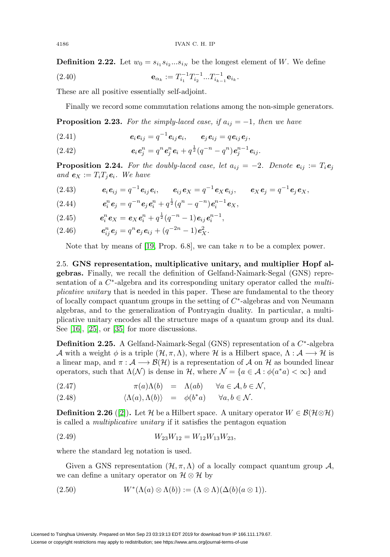**Definition 2.22.** Let  $w_0 = s_{i_1} s_{i_2} \dots s_{i_N}$  be the longest element of W. We define

<span id="page-9-1"></span>(2.40) 
$$
\mathbf{e}_{\alpha_k} := T_{i_1}^{-1} T_{i_2}^{-1} ... T_{i_{k-1}}^{-1} \mathbf{e}_{i_k}.
$$

These are all positive essentially self-adjoint.

Finally we record some commutation relations among the non-simple generators.

<span id="page-9-2"></span>**Proposition 2.23.** For the simply-laced case, if  $a_{ij} = -1$ , then we have

(2.41) 
$$
\mathbf{e}_i \mathbf{e}_{ij} = q^{-1} \mathbf{e}_{ij} \mathbf{e}_i, \qquad \mathbf{e}_j \mathbf{e}_{ij} = q \mathbf{e}_{ij} \mathbf{e}_j,
$$

<span id="page-9-3"></span>(2.42) 
$$
\mathbf{e}_i \mathbf{e}_j^n = q^n \mathbf{e}_j^n \mathbf{e}_i + q^{\frac{1}{2}} (q^{-n} - q^n) \mathbf{e}_j^{n-1} \mathbf{e}_{ij}.
$$

<span id="page-9-0"></span>**Proposition 2.24.** For the doubly-laced case, let  $a_{ij} = -2$ . Denote  $e_{ij} := T_i e_j$ and  $e_X := T_i T_j e_i$ . We have

$$
(2.43) \qquad \qquad e_i e_{ij} = q^{-1} e_{ij} e_i, \qquad e_{ij} e_X = q^{-1} e_X e_{ij}, \qquad e_X e_j = q^{-1} e_j e_X,
$$

(2.44) 
$$
\mathbf{e}_i^n \mathbf{e}_j = q^{-n} \mathbf{e}_j \mathbf{e}_i^n + q^{\frac{1}{2}} (q^n - q^{-n}) \mathbf{e}_i^{n-1} \mathbf{e}_X,
$$

(2.45) 
$$
\mathbf{e}_i^n \mathbf{e}_X = \mathbf{e}_X \mathbf{e}_i^n + q^{\frac{1}{2}} (q^{-n} - 1) \mathbf{e}_{ij} \mathbf{e}_i^{n-1},
$$

(2.46) 
$$
\mathbf{e}_{ij}^n \mathbf{e}_j = q^n \mathbf{e}_j \mathbf{e}_{ij} + (q^{-2n} - 1) \mathbf{e}_X^2.
$$

Note that by means of [\[19,](#page-22-8) Prop. 6.8], we can take  $n$  to be a complex power.

2.5. **GNS representation, multiplicative unitary, and multiplier Hopf algebras.** Finally, we recall the definition of Gelfand-Naimark-Segal (GNS) representation of a  $C^*$ -algebra and its corresponding unitary operator called the *multi*plicative unitary that is needed in this paper. These are fundamental to the theory of locally compact quantum groups in the setting of  $C<sup>*</sup>$ -algebras and von Neumann algebras, and to the generalization of Pontryagin duality. In particular, a multiplicative unitary encodes all the structure maps of a quantum group and its dual. See [\[16\]](#page-22-16), [\[25\]](#page-23-10), or [\[35\]](#page-23-15) for more discussions.

**Definition 2.25.** A Gelfand-Naimark-Segal (GNS) representation of a C∗-algebra A with a weight  $\phi$  is a triple  $(\mathcal{H}, \pi, \Lambda)$ , where H is a Hilbert space,  $\Lambda : \mathcal{A} \longrightarrow \mathcal{H}$  is a linear map, and  $\pi : \mathcal{A} \longrightarrow \mathcal{B}(\mathcal{H})$  is a representation of  $\mathcal{A}$  on  $\mathcal{H}$  as bounded linear operators, such that  $\Lambda(\mathcal{N})$  is dense in  $\mathcal{H}$ , where  $\mathcal{N} = \{a \in \mathcal{A} : \phi(a^*a) < \infty\}$  and

(2.47) 
$$
\pi(a)\Lambda(b) = \Lambda(ab) \quad \forall a \in \mathcal{A}, b \in \mathcal{N},
$$

(2.48) 
$$
\langle \Lambda(a), \Lambda(b) \rangle = \phi(b^*a) \quad \forall a, b \in \mathcal{N}.
$$

**Definition 2.26** ([\[2\]](#page-22-17)). Let H be a Hilbert space. A unitary operator  $W \in \mathcal{B}(\mathcal{H}\otimes\mathcal{H})$ is called a multiplicative unitary if it satisfies the pentagon equation

$$
(2.49) \t W_{23}W_{12} = W_{12}W_{13}W_{23},
$$

where the standard leg notation is used.

Given a GNS representation  $(\mathcal{H}, \pi, \Lambda)$  of a locally compact quantum group  $\mathcal{A}$ , we can define a unitary operator on  $\mathcal{H} \otimes \mathcal{H}$  by

<span id="page-9-4"></span>
$$
(2.50) \t W^*(\Lambda(a)\otimes\Lambda(b)) := (\Lambda\otimes\Lambda)(\Delta(b)(a\otimes 1)).
$$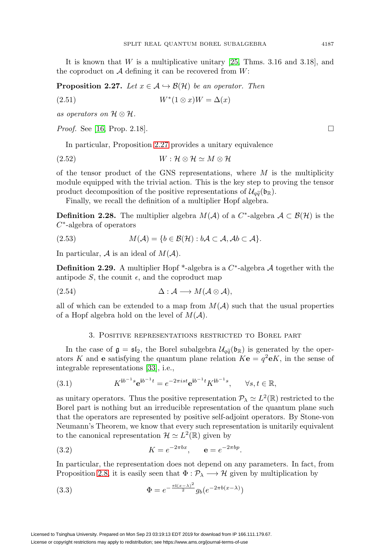It is known that  $W$  is a multiplicative unitary  $[25,$  Thms. 3.16 and 3.18], and the coproduct on  $A$  defining it can be recovered from  $W$ :

<span id="page-10-1"></span>**Proposition 2.27.** Let  $x \in A \hookrightarrow \mathcal{B}(\mathcal{H})$  be an operator. Then

$$
(2.51) \t\t W^*(1 \otimes x)W = \Delta(x)
$$

as operators on  $\mathcal{H} \otimes \mathcal{H}$ .

*Proof.* See [\[16,](#page-22-16) Prop. 2.18].  $\Box$ 

In particular, Proposition [2.27](#page-10-1) provides a unitary equivalence

$$
(2.52) \t\t W: \mathcal{H} \otimes \mathcal{H} \simeq M \otimes \mathcal{H}
$$

of the tensor product of the GNS representations, where  $M$  is the multiplicity module equipped with the trivial action. This is the key step to proving the tensor of the tensor product of the GNS representations, where M is<br>module equipped with the trivial action. This is the key step to p<br>product decomposition of the positive representations of  $\mathcal{U}_{q\tilde{q}}(\mathfrak{b}_{\mathbb{R}})$ .

Finally, we recall the definition of a multiplier Hopf algebra.

**Definition 2.28.** The multiplier algebra  $M(A)$  of a  $C^*$ -algebra  $A \subset \mathcal{B}(\mathcal{H})$  is the  $C^*$ -algebra of operators

$$
(2.53) \t M(\mathcal{A}) = \{b \in \mathcal{B}(\mathcal{H}) : b\mathcal{A} \subset \mathcal{A}, \mathcal{A}b \subset \mathcal{A}\}.
$$

In particular,  $\mathcal A$  is an ideal of  $M(\mathcal A)$ .

<span id="page-10-2"></span>**Definition 2.29.** A multiplier Hopf \*-algebra is a  $C^*$ -algebra A together with the antipode S, the counit  $\epsilon$ , and the coproduct map

$$
(2.54) \qquad \Delta: \mathcal{A} \longrightarrow M(\mathcal{A} \otimes \mathcal{A}),
$$

all of which can be extended to a map from  $M(A)$  such that the usual properties of a Hopf algebra hold on the level of  $M(A)$ .

## 3. Positive representations restricted to Borel part

<span id="page-10-0"></span>3. POSITIVE REPRESENTATIONS RESTRICTED TO BOREL PART<br>In the case of  $\mathfrak{g} = \mathfrak{sl}_2$ , the Borel subalgebra  $\mathcal{U}_{q\tilde{q}}(\mathfrak{b}_\mathbb{R})$  is generated by the operators K and **e** satisfying the quantum plane relation  $K\mathbf{e} = q^2\mathbf{e}K$ , in the sense of integrable representations [\[33\]](#page-23-16), i.e.,

(3.1) 
$$
K^{\mathbf{i}b^{-1}s} \mathbf{e}^{\mathbf{i}b^{-1}t} = e^{-2\pi i st} \mathbf{e}^{\mathbf{i}b^{-1}t} K^{\mathbf{i}b^{-1}s}, \qquad \forall s, t \in \mathbb{R},
$$

as unitary operators. Thus the positive representation  $\mathcal{P}_{\lambda} \simeq L^2(\mathbb{R})$  restricted to the Borel part is nothing but an irreducible representation of the quantum plane such that the operators are represented by positive self-adjoint operators. By Stone-von Neumann's Theorem, we know that every such representation is unitarily equivalent to the canonical representation  $\mathcal{H} \simeq L^2(\mathbb{R})$  given by

(3.2) 
$$
K = e^{-2\pi bx}
$$
,  $\mathbf{e} = e^{-2\pi bp}$ .

In particular, the representation does not depend on any parameters. In fact, from Proposition [2.8,](#page-6-2) it is easily seen that  $\Phi : \mathcal{P}_{\lambda} \longrightarrow \mathcal{H}$  given by multiplication by

(3.3) 
$$
\Phi = e^{-\frac{\pi i (x-\lambda)^2}{2}} g_b(e^{-2\pi b (x-\lambda)})
$$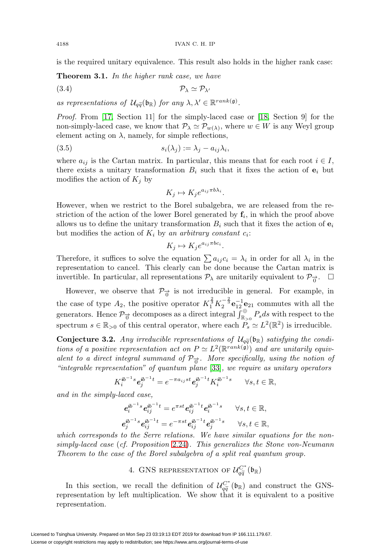is the required unitary equivalence. This result also holds in the higher rank case:

<span id="page-11-0"></span>**Theorem 3.1.** In the higher rank case, we have

$$
(3.4) \t\t\t \mathcal{P}_{\lambda} \simeq \mathcal{P}_{\lambda'}
$$

**Theorem 3.1.** In the higher rank case, we have<br>
(3.4)  $\mathcal{P}_{\lambda} \simeq \mathcal{P}_{\lambda'}$ <br>
as representations of  $\mathcal{U}_{q\tilde{q}}(\mathfrak{b}_{\mathbb{R}})$  for any  $\lambda, \lambda' \in \mathbb{R}^{rank(\mathfrak{g})}$ .

Proof. From [\[17,](#page-22-6) Section 11] for the simply-laced case or [\[18,](#page-22-7) Section 9] for the non-simply-laced case, we know that  $\mathcal{P}_{\lambda} \simeq \mathcal{P}_{w(\lambda)}$ , where  $w \in W$  is any Weyl group element acting on  $\lambda$ , namely, for simple reflections,

$$
(3.5) \t\t s_i(\lambda_j) := \lambda_j - a_{ij}\lambda_i,
$$

where  $a_{ij}$  is the Cartan matrix. In particular, this means that for each root  $i \in I$ , there exists a unitary transformation  $B_i$  such that it fixes the action of  $e_i$  but modifies the action of  $K_j$  by

$$
K_j \mapsto K_j e^{a_{ij}\pi b \lambda_i}.
$$

However, when we restrict to the Borel subalgebra, we are released from the restriction of the action of the lower Borel generated by  $f_i$ , in which the proof above allows us to define the unitary transformation  $B_i$  such that it fixes the action of  $\mathbf{e}_i$ but modifies the action of  $K_i$  by an arbitrary constant  $c_i$ :

$$
K_j \mapsto K_j e^{a_{ij}\pi bc_i}.
$$

Therefore, it suffices to solve the equation  $\sum a_{ij} c_i = \lambda_i$  in order for all  $\lambda_i$  in the representation to cancel. This clearly can be done because the Cartan matrix is invertible. In particular, all representations  $\mathcal{P}_{\lambda}$  are unitarily equivalent to  $\mathcal{P}_{\overrightarrow{0}}$ .  $\Box$ 

However, we observe that  $\mathcal{P}_{\vec{n}}$  is not irreducible in general. For example, in the case of type  $A_2$ , the positive operator  $K_1^{\frac{2}{3}} K_2^{-\frac{2}{3}} \mathbf{e}_{12}^{-1} \mathbf{e}_{21}$  commutes with all the generators. Hence  $\mathcal{P}_{\overrightarrow{0}}$  decomposes as a direct integral  $\int_{\mathbb{R}_{>0}}^{\oplus} P_s ds$  with respect to the spectrum  $s \in \mathbb{R}_{>0}$  of this central operator, where each  $P_s \simeq L^2(\mathbb{R}^2)$  is irreducible. generators. Hence  $\mathcal{P}_{\vec{0}}$  decomposes as a direct integral  $\int_{\mathbb{R}_{>0}}^{\oplus} P_s ds$  with respect to the spectrum  $s \in \mathbb{R}_{>0}$  of this central operator, where each  $P_s \simeq L^2(\mathbb{R}^2)$  is irreducible.<br>**Conjecture 3.2.** 

<span id="page-11-1"></span>tions of a positive representation act on  $P \simeq L^2(\mathbb{R}^{rank(\mathfrak{g})})$  and are unitarily equivalent to a direct integral summand of  $\mathcal{P}_{\vec{\sigma}}$ . More specifically, using the notion of "integrable representation" of quantum plane [\[33\]](#page-23-16), we require as unitary operators

$$
K_i^{\text{ib}^{-1}s}\mathbf{e}_j^{\text{ib}^{-1}t}=e^{-\pi a_{ij}st}\mathbf{e}_j^{\text{ib}^{-1}t}K_i^{\text{ib}^{-1}s}\qquad \forall s,t\in \mathbb{R},
$$

and in the simply-laced case,

$$
\begin{aligned} e_i^{i b^{-1} s} e_{ij}^{i b^{-1} t} &= e^{\pi s t} e_{ij}^{i b^{-1} t} e_i^{i b^{-1} s} \qquad \forall s, t \in \mathbb{R}, \\ e_j^{i b^{-1} s} e_{ij}^{i b^{-1} t} &= e^{-\pi s t} e_{ij}^{i b^{-1} t} e_j^{i b^{-1} s} \qquad \forall s, t \in \mathbb{R}, \end{aligned}
$$

which corresponds to the Serre relations. We have similar equations for the nonsimply-laced case (cf. Proposition [2.24\)](#page-9-0). This generalizes the Stone von-Neumann Theorem to the case of the Borel subalgebra of a split real quantum group. Proposition 2.24). This generalizes the<br>of the Borel subalgebra of a split real qu<br>4. GNS REPRESENTATION OF  $\mathcal{U}_{q\bar{q}}^{C^*}(\mathfrak{b}_\mathbb{R})$ 

<span id="page-11-2"></span>4. GNS REPRESENTATION OF  $U_{q\tilde{q}}^{C^*}(\mathfrak{b}_\mathbb{R})$ <br>In this section, we recall the definition of  $U_{q\tilde{q}}^{C^*}(\mathfrak{b}_\mathbb{R})$  and construct the GNSrepresentation by left multiplication. We show that it is equivalent to a positive representation.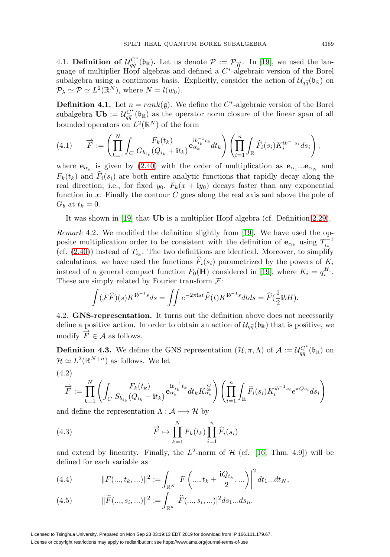SPLIT REAL QUANTUM BOREL SUBALGEBRA 4189<br>4.1. **Definition of**  $\mathcal{U}_{q\tilde{q}}^{C^*}(\mathfrak{b}_{\mathbb{R}})$ . Let us denote  $\mathcal{P} := \mathcal{P}_{\overrightarrow{0}}$ . In [\[19\]](#page-22-8), we used the language of multiplier Hopf algebras and defined a  $C^*$ -algebraic version of the Borel 4.1. **Definition of**  $\mathcal{U}_{q\tilde{q}}^{C^*}(\mathfrak{b}_{\mathbb{R}})$ . Let us denote  $\mathcal{P} := \mathcal{P}_{\overrightarrow{0}}$ . In [19], we used t guage of multiplier Hopf algebras and defined a  $C^*$ -algebraic version of the subalgebra using a continuous subalgebra using a continuous basis. Explicitly, consider the action of  $\mathcal{U}_{\alpha\tilde{\alpha}}(\mathfrak{b}_{\mathbb{R}})$  on  $\mathcal{P}_{\lambda} \simeq \mathcal{P} \simeq L^2(\mathbb{R}^N)$ , where  $N = l(w_0)$ .

<span id="page-12-1"></span>**Definition 4.1.** Let  $n = rank(g)$ . We define the C<sup>\*</sup>-algebraic version of the Borel  $\mathcal{P}_{\lambda} \simeq \mathcal{P} \simeq L^2(\mathbb{R}^N)$ , where  $N = l(w_0)$ .<br> **Definition 4.1.** Let  $n = rank(\mathfrak{g})$ . We define the  $C^*$ -algebraic version of the Borel<br>
subalgebra  $\mathbf{Ub} := \mathcal{U}_{q\tilde{q}}^{C^*}(\mathfrak{b}_{\mathbb{R}})$  as the operator norm cl bounded operators on  $L^2(\mathbb{R}^N)$  of the form

$$
(4.1) \qquad \overrightarrow{F} := \left(\prod_{k=1}^N \int_C \frac{F_k(t_k)}{G_{b_{i_k}}(Q_{i_k} + it_k)} \mathbf{e}_{\alpha_k}^{\mathbf{i}b_{i_k}^{-1}t_k} dt_k\right) \left(\prod_{i=1}^n \int_{\mathbb{R}} \widehat{F}_i(s_i) K_i^{\mathbf{i}b^{-1}s_i} ds_i\right),
$$

where  $\mathbf{e}_{\alpha_k}$  is given by [\(2.40\)](#page-9-1) with the order of multiplication as  $\mathbf{e}_{\alpha_1}...\mathbf{e}_{\alpha_N}$  and  $F_k(t_k)$  and  $\hat{F}_i(s_i)$  are both entire analytic functions that rapidly decay along the real direction; i.e., for fixed  $y_0$ ,  $F_k(x + iy_0)$  decays faster than any exponential function in  $x$ . Finally the contour  $C$  goes along the real axis and above the pole of  $G_b$  at  $t_k = 0$ .

It was shown in [\[19\]](#page-22-8) that **Ub** is a multiplier Hopf algebra (cf. Definition [2.29\)](#page-10-2).

Remark 4.2. We modified the definition slightly from [\[19\]](#page-22-8). We have used the opposite multiplication order to be consistent with the definition of  $\mathbf{e}_{\alpha_k}$  using  $T_{i_k}^{-1}$ (cf.  $(2.40)$ ) instead of  $T_{i_k}$ . The two definitions are identical. Moreover, to simplify calculations, we have used the functions  $\widehat{F}_i(s_i)$  parametrized by the powers of  $K_i$ instead of a general compact function  $F_0(\mathbf{H})$  considered in [\[19\]](#page-22-8), where  $K_i = q_i^{H_i}$ . These are simply related by Fourier transform  $\mathcal{F}$ :

$$
\int (\mathcal{F}\widehat{F})(s)K^{\mathbf{i}b^{-1}s}ds = \iint e^{-2\pi\mathbf{i}s t}\widehat{F}(t)K^{\mathbf{i}b^{-1}s}dtds = \widehat{F}(\frac{1}{2}\mathbf{i}bH).
$$

4.2. **GNS-representation.** It turns out the definition above does not necessarily  $\int (FF)(s)K^{i\sigma} ds = \iint e^{-2\pi i s s} F(t)K^{i\sigma} s^d dt ds = F(\frac{1}{2} i\sigma H).$ <br>4.2. **GNS-representation.** It turns out the definition above does not necessarily define a positive action. In order to obtain an action of  $\mathcal{U}_{q\tilde{q}}(\mathfrak{b}_{\$ modify  $\overrightarrow{F}\in\mathcal{A}$  as follows. define a positive action. In order to obtain an action of  $\mathcal{U}_{q\tilde{q}}(\mathfrak{b}_{\mathbb{R}})$  that is positive, we<br>modify  $\overrightarrow{F} \in \mathcal{A}$  as follows.<br>**Definition 4.3.** We define the GNS representation  $(\mathcal{H}, \pi, \Lambda)$  of  $\mathcal{A}$ 

<span id="page-12-2"></span> $\mathcal{H} \simeq L^2(\mathbb{R}^{N+n})$  as follows. We let

$$
(4.2)
$$

$$
\overrightarrow{F} := \prod_{k=1}^N \left( \int_C \frac{F_k(t_k)}{S_{b_{i_k}}(Q_{i_k} + it_k)} \mathbf{e}_{\alpha_k}^{\mathbf{i} b_{i_k}^{-1} t_k} dt_k K_{\alpha_k}^{\frac{Q}{2b}} \right) \left( \prod_{i=1}^n \int_{\mathbb{R}} \widehat{F}_i(s_i) K_i^{\mathbf{i} b^{-1} s_i} e^{\pi Q s_i} ds_i \right)
$$

and define the representation  $\Lambda : \mathcal{A} \longrightarrow \mathcal{H}$  by

(4.3) 
$$
\overrightarrow{F} \mapsto \prod_{k=1}^{N} F_k(t_k) \prod_{i=1}^{n} \widehat{F}_i(s_i)
$$

and extend by linearity. Finally, the  $L^2$ -norm of  $H$  (cf. [\[16,](#page-22-16) Thm. 4.9]) will be defined for each variable as

<span id="page-12-0"></span>(4.4) 
$$
||F(...,t_k,...)||^2 := \int_{\mathbb{R}^N} \left| F\left(...,t_k+\frac{\mathbf{i}Q_{i_k}}{2},...\right) \right|^2 dt_1...dt_N,
$$

(4.5) 
$$
\|\widehat{F}(...,s_i,...)\|^2 := \int_{\mathbb{R}^n} |\widehat{F}(...,s_i,...)|^2 ds_1...ds_n.
$$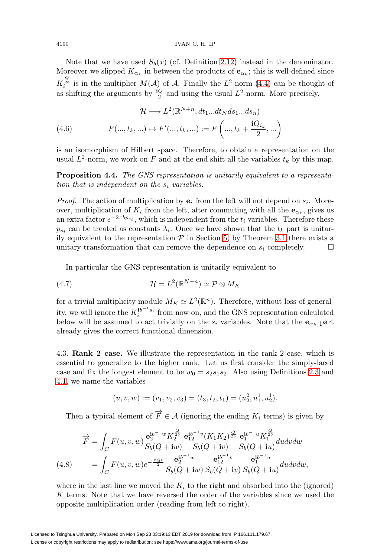Note that we have used  $S_b(x)$  (cf. Definition [2.12\)](#page-7-0) instead in the denominator. Moreover we slipped  $K_{\alpha_k}$  in between the products of  $\mathbf{e}_{\alpha_k}$ ; this is well-defined since  $K_i^{\frac{Q}{2b}}$  is in the multiplier  $M(A)$  of A. Finally the  $L^2$ -norm [\(4.4\)](#page-12-0) can be thought of as shifting the arguments by  $\frac{iQ}{2}$  and using the usual  $L^2$ -norm. More precisely,

(4.6) 
$$
\mathcal{H} \longrightarrow L^{2}(\mathbb{R}^{N+n}, dt_{1}...dt_{N}ds_{1}...ds_{n})
$$

$$
F(...,t_{k},...) \mapsto F'(...,t_{k},...) := F\left(...,t_{k} + \frac{\mathbf{i}Q_{i_{k}}}{2},...\right)
$$

is an isomorphism of Hilbert space. Therefore, to obtain a representation on the usual  $L^2$ -norm, we work on F and at the end shift all the variables  $t_k$  by this map.

<span id="page-13-0"></span>**Proposition 4.4.** The GNS representation is unitarily equivalent to a representation that is independent on the  $s_i$  variables.

*Proof.* The action of multiplication by  $e_i$  from the left will not depend on  $s_i$ . Moreover, multiplication of  $K_i$  from the left, after commuting with all the  $\mathbf{e}_{\alpha_k}$ , gives us an extra factor  $e^{-2\pi b p_{s_i}}$ , which is independent from the  $t_i$  variables. Therefore these  $p_{s_i}$  can be treated as constants  $\lambda_i$ . Once we have shown that the  $t_k$  part is unitarily equivalent to the representation  $P$  in Section [5,](#page-17-0) by Theorem [3.1](#page-11-0) there exists a unitary transformation that can remove the dependence on  $s_i$  completely.  $\Box$ 

In particular the GNS representation is unitarily equivalent to

<span id="page-13-1"></span>(4.7) 
$$
\mathcal{H} = L^2(\mathbb{R}^{N+n}) \simeq \mathcal{P} \otimes M_K
$$

for a trivial multiplicity module  $M_K \simeq L^2(\mathbb{R}^n)$ . Therefore, without loss of generality, we will ignore the  $K_i^{\mathbf{i}b^{-1}s_i}$  from now on, and the GNS representation calculated below will be assumed to act trivially on the  $s_i$  variables. Note that the  $e_{\alpha_k}$  part already gives the correct functional dimension.

4.3. **Rank 2 case.** We illustrate the representation in the rank 2 case, which is essential to generalize to the higher rank. Let us first consider the simply-laced case and fix the longest element to be  $w_0 = s_2s_1s_2$ . Also using Definitions [2.3](#page-5-2) and [4.1,](#page-12-1) we name the variables

$$
(u, v, w) := (v_1, v_2, v_3) = (t_3, t_2, t_1) = (u_2^2, u_1^1, u_2^1).
$$

Then a typical element of  $\overrightarrow{F} \in \mathcal{A}$  (ignoring the ending  $K_i$  terms) is given by

$$
\overrightarrow{F} = \int_C F(u, v, w) \frac{\mathbf{e}_2^{ib^{-1}w} K_2^{\frac{Q}{2b}}}{S_b(Q + iw)} \frac{\mathbf{e}_{12}^{ib^{-1}v} (K_1 K_2)^{\frac{Q}{2b}}}{S_b(Q + iw)} \frac{\mathbf{e}_1^{ib^{-1}u} K_1^{\frac{Q}{2b}}}{S_b(Q + iw)} du dv dw
$$
\n
$$
(4.8) \qquad = \int_C F(u, v, w) e^{-\frac{\pi Qv}{2}} \frac{\mathbf{e}_2^{ib^{-1}w}}{S_b(Q + iw)} \frac{\mathbf{e}_1^{ib^{-1}v}}{S_b(Q + iw)} \frac{\mathbf{e}_1^{ib^{-1}u}}{S_b(Q + iw)} \frac{\mathbf{e}_1^{ib^{-1}u}}{S_b(Q + iw)} du dv dw,
$$

where in the last line we moved the  $K_i$  to the right and absorbed into the (ignored) K terms. Note that we have reversed the order of the variables since we used the opposite multiplication order (reading from left to right).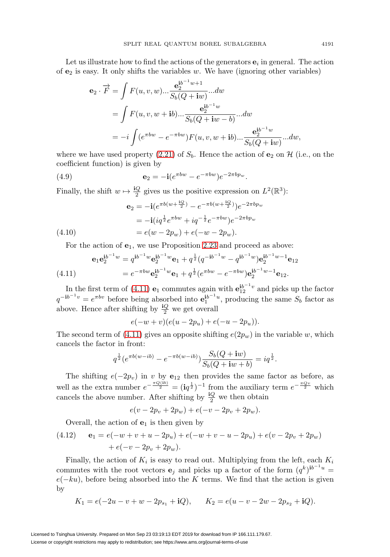Let us illustrate how to find the actions of the generators  $\mathbf{e}_i$  in general. The action of  $e_2$  is easy. It only shifts the variables w. We have (ignoring other variables)

$$
\begin{split} \mathbf{e}_{2} \cdot \overrightarrow{F} &= \int F(u, v, w) \dots \frac{\mathbf{e}_{2}^{i b^{-1} w + 1}}{S_{b}(Q + \mathbf{i}w)} \dots dw \\ &= \int F(u, v, w + \mathbf{i}b) \dots \frac{\mathbf{e}_{2}^{i b^{-1} w}}{S_{b}(Q + \mathbf{i}w - b)} \dots dw \\ &= -i \int (e^{\pi bw} - e^{-\pi bw}) F(u, v, w + \mathbf{i}b) \dots \frac{\mathbf{e}_{2}^{i b^{-1} w}}{S_{b}(Q + \mathbf{i}w)} \dots dw, \end{split}
$$

where we have used property  $(2.21)$  of  $S_b$ . Hence the action of **e**<sub>2</sub> on H (i.e., on the coefficient function) is given by

(4.9) 
$$
\mathbf{e}_2 = -\mathbf{i}(e^{\pi bw} - e^{-\pi bw})e^{-2\pi bp_w}.
$$

Finally, the shift  $w \mapsto \frac{\mathrm{i}Q}{2}$  gives us the positive expression on  $L^2(\mathbb{R}^3)$ :

$$
\begin{aligned} \mathbf{e}_2 &= -\mathbf{i} (e^{\pi b(w + \frac{\mathbf{i}Q}{2})} - e^{-\pi b(w + \frac{\mathbf{i}Q}{2})}) e^{-2\pi b p_w} \\ &= -\mathbf{i} (i q^{\frac{1}{2}} e^{\pi b w} + i q^{-\frac{1}{2}} e^{-\pi b w}) e^{-2\pi b p_w} \\ &= e(w - 2p_w) + e(-w - 2p_w). \end{aligned} \tag{4.10}
$$

For the action of  $e_1$ , we use Proposition [2.23](#page-9-2) and proceed as above:

<span id="page-14-0"></span>(4.11) 
$$
\mathbf{e}_1 \mathbf{e}_2^{\mathbf{i}b^{-1}w} = q^{\mathbf{i}b^{-1}w} \mathbf{e}_2^{\mathbf{i}b^{-1}w} \mathbf{e}_1 + q^{\frac{1}{2}} (q^{-\mathbf{i}b^{-1}w} - q^{\mathbf{i}b^{-1}w}) \mathbf{e}_2^{\mathbf{i}b^{-1}w-1} \mathbf{e}_{12}
$$

$$
= e^{-\pi bw} \mathbf{e}_2^{\mathbf{i}b^{-1}w} \mathbf{e}_1 + q^{\frac{1}{2}} (e^{\pi bw} - e^{-\pi bw}) \mathbf{e}_2^{\mathbf{i}b^{-1}w-1} \mathbf{e}_{12}.
$$

In the first term of [\(4.11\)](#page-14-0) **e**<sub>1</sub> commutes again with  $\mathbf{e}_{12}^{i b^{-1} v}$  and picks up the factor  $q^{-ib^{-1}v} = e^{\pi bv}$  before being absorbed into  $e_1^{ib^{-1}u}$ , producing the same  $S_b$  factor as above. Hence after shifting by  $\frac{Q}{2}$  we get overall

$$
e(-w+v)(e(u-2p_u)+e(-u-2p_u)).
$$

The second term of [\(4.11\)](#page-14-0) gives an opposite shifting  $e(2p_w)$  in the variable w, which cancels the factor in front:

$$
q^{\frac{1}{2}}(e^{\pi b(w - ib)} - e^{-\pi b(w - ib)}) \frac{S_b(Q + iw)}{S_b(Q + iw + b)} = iq^{\frac{1}{2}}.
$$

The shifting  $e(-2p_v)$  in v by  $e_{12}$  then provides the same factor as before, as well as the extra number  $e^{-\frac{\pi Q(\mathbf{i}b)}{2}} = (\mathbf{i}q^{\frac{1}{2}})^{-1}$  from the auxiliary term  $e^{-\frac{\pi Qv}{2}}$  which cancels the above number. After shifting by  $\frac{iQ}{2}$  we then obtain

$$
e(v - 2p_v + 2p_w) + e(-v - 2p_v + 2p_w).
$$

Overall, the action of  $e_1$  is then given by

<span id="page-14-1"></span>(4.12) 
$$
\mathbf{e}_1 = e(-w + v + u - 2p_u) + e(-w + v - u - 2p_u) + e(v - 2p_v + 2p_w) + e(-v - 2p_v + 2p_w).
$$

Finally, the action of  $K_i$  is easy to read out. Multiplying from the left, each  $K_i$ commutes with the root vectors **e**<sub>j</sub> and picks up a factor of the form  $(q^k)^{ib^{-1}u}$  $e(-ku)$ , before being absorbed into the K terms. We find that the action is given by

$$
K_1 = e(-2u - v + w - 2p_{s_1} + iQ),
$$
  $K_2 = e(u - v - 2w - 2p_{s_2} + iQ).$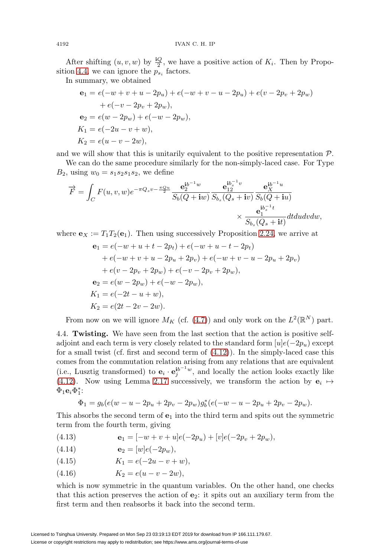After shifting  $(u, v, w)$  by  $\frac{\mathrm{i}Q}{2}$ , we have a positive action of  $K_i$ . Then by Propo-sition [4.4,](#page-13-0) we can ignore the  $p_{s_i}$  factors.

In summary, we obtained

$$
e_1 = e(-w + v + u - 2p_u) + e(-w + v - u - 2p_u) + e(v - 2p_v + 2p_w)
$$
  
+  $e(-v - 2p_v + 2p_w)$ ,  

$$
e_2 = e(w - 2p_w) + e(-w - 2p_w),
$$
  

$$
K_1 = e(-2u - v + w),
$$
  

$$
K_2 = e(u - v - 2w),
$$

and we will show that this is unitarily equivalent to the positive representation  $\mathcal{P}$ .

We can do the same procedure similarly for the non-simply-laced case. For Type  $B_2$ , using  $w_0 = s_1 s_2 s_1 s_2$ , we define

$$
\overrightarrow{F} = \int_C F(u,v,w)e^{-\pi Q_s v - \frac{\pi Q_u}{2}} \frac{\mathbf{e}_2^{\mathbf{i}b^{-1}w}}{S_b(Q+\mathbf{i}w)} \frac{\mathbf{e}_{12}^{\mathbf{i}b^{-1}v}}{S_{b_s}(Q_s+\mathbf{i}v)} \frac{\mathbf{e}_X^{\mathbf{i}b^{-1}u}}{S_b(Q+\mathbf{i}u)}
$$

$$
\times \frac{\mathbf{e}_1^{\mathbf{i}b^{-1}t}}{S_{b_s}(Q_s+\mathbf{i}t)} dt du dv dw,
$$

where  $\mathbf{e}_X := T_1 T_2(\mathbf{e}_1)$ . Then using successively Proposition [2.24,](#page-9-0) we arrive at

$$
e_1 = e(-w + u + t - 2p_t) + e(-w + u - t - 2p_t)
$$
  
+  $e(-w + v + u - 2p_u + 2p_v) + e(-w + v - u - 2p_u + 2p_v)$   
+  $e(v - 2p_v + 2p_w) + e(-v - 2p_v + 2p_w),$   
 $e_2 = e(w - 2p_w) + e(-w - 2p_w),$   
 $K_1 = e(-2t - u + w),$   
 $K_2 = e(2t - 2v - 2w).$ 

From now on we will ignore  $M_K$  (cf. [\(4.7\)](#page-13-1)) and only work on the  $L^2(\mathbb{R}^N)$  part.

4.4. **Twisting.** We have seen from the last section that the action is positive selfadjoint and each term is very closely related to the standard form  $[u]e(-2p_u)$  except for a small twist (cf. first and second term of [\(4.12\)](#page-14-1)). In the simply-laced case this comes from the commutation relation arising from any relations that are equivalent (i.e., Lusztig transformed) to  $\mathbf{e}_i \cdot \mathbf{e}_j^{ib^{-1}w}$ , and locally the action looks exactly like [\(4.12\)](#page-14-1). Now using Lemma [2.17](#page-8-3) successively, we transform the action by  $e_i \mapsto$  $\Phi_1$ **e**<sub>i</sub> $\Phi_1^*$ :

$$
\Phi_1 = g_b(e(w - u - 2p_u + 2p_v - 2p_w))g_b^*(e(-w - u - 2p_u + 2p_v - 2p_w)).
$$

This absorbs the second term of **e**<sup>1</sup> into the third term and spits out the symmetric term from the fourth term, giving

<span id="page-15-0"></span>(4.13) 
$$
\mathbf{e}_1 = [-w + v + u]e(-2p_u) + [v]e(-2p_v + 2p_w),
$$

$$
(4.14) \qquad \qquad \mathbf{e}_2 = [w]e(-2p_w),
$$

- (4.15)  $K_1 = e(-2u v + w),$
- (4.16)  $K_2 = e(u v 2w),$

which is now symmetric in the quantum variables. On the other hand, one checks that this action preserves the action of **e**2: it spits out an auxiliary term from the first term and then reabsorbs it back into the second term.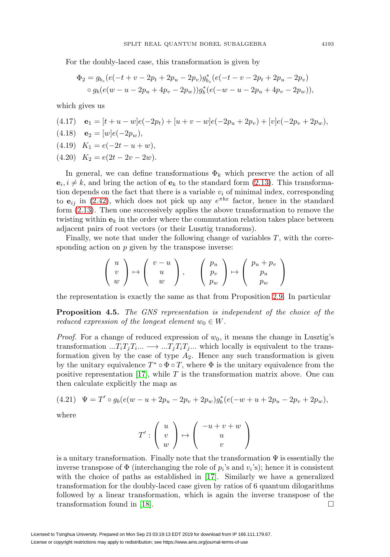For the doubly-laced case, this transformation is given by

$$
\Phi_2 = g_{b_s}(e(-t + v - 2p_t + 2p_u - 2p_v)g_{b_s}^*(e(-t - v - 2p_t + 2p_u - 2p_v))
$$
  
 
$$
\circ g_b(e(w - u - 2p_u + 4p_v - 2p_w))g_b^*(e(-w - u - 2p_u + 4p_v - 2p_w)),
$$

which gives us

(4.17) 
$$
\mathbf{e}_1 = [t + u - w]e(-2p_t) + [u + v - w]e(-2p_u + 2p_v) + [v]e(-2p_v + 2p_w),
$$
  
\n(4.18)  $\mathbf{e}_2 = [w]e(-2p_w),$   
\n(4.19)  $K_1 = e(-2t - u + w),$   
\n(4.20)  $K_2 = e(2t - 2v - 2w).$ 

<span id="page-16-0"></span>In general, we can define transformations  $\Phi_k$  which preserve the action of all  $\mathbf{e}_i, i \neq k$ , and bring the action of  $\mathbf{e}_k$  to the standard form [\(2.13\)](#page-5-3). This transformation depends on the fact that there is a variable  $v_i$  of minimal index, corresponding to  $e_{ij}$  in [\(2.42\)](#page-9-3), which does not pick up any  $e^{\pi bx}$  factor, hence in the standard form [\(2.13\)](#page-5-3). Then one successively applies the above transformation to remove the twisting within  $\mathbf{e}_k$  in the order where the commutation relation takes place between adjacent pairs of root vectors (or their Lusztig transforms).

Finally, we note that under the following change of variables  $T$ , with the corresponding action on  $p$  given by the transpose inverse:

$$
\left(\begin{array}{c} u \\ v \\ w \end{array}\right) \mapsto \left(\begin{array}{c} v-u \\ u \\ w \end{array}\right), \qquad \left(\begin{array}{c} p_u \\ p_v \\ p_w \end{array}\right) \mapsto \left(\begin{array}{c} p_u + p_v \\ p_u \\ p_w \end{array}\right)
$$

the representation is exactly the same as that from Proposition [2.9.](#page-6-3) In particular

**Proposition 4.5.** The GNS representation is independent of the choice of the reduced expression of the longest element  $w_0 \in W$ .

*Proof.* For a change of reduced expression of  $w_0$ , it means the change in Lusztig's transformation  $...T_iT_jT_i... \longrightarrow ...T_jT_iT_j...$  which locally is equivalent to the transformation given by the case of type  $A_2$ . Hence any such transformation is given by the unitary equivalence  $T^* \circ \Phi \circ T$ , where  $\Phi$  is the unitary equivalence from the positive representation  $[17]$ , while T is the transformation matrix above. One can then calculate explicitly the map as

$$
(4.21) \quad \Psi = T' \circ g_b(e(w - u + 2p_u - 2p_v + 2p_w))g_b^*(e(-w + u + 2p_u - 2p_v + 2p_w)),
$$

where

$$
T':\left(\begin{array}{c}u\\v\\w\end{array}\right)\mapsto \left(\begin{array}{c}-u+v+w\\u\\v\end{array}\right)
$$

is a unitary transformation. Finally note that the transformation  $\Psi$  is essentially the inverse transpose of  $\Phi$  (interchanging the role of  $p_i$ 's and  $v_i$ 's); hence it is consistent with the choice of paths as established in [\[17\]](#page-22-6). Similarly we have a generalized transformation for the doubly-laced case given by ratios of 6 quantum dilogarithms followed by a linear transformation, which is again the inverse transpose of the transformation found in [\[18\]](#page-22-7).  $\Box$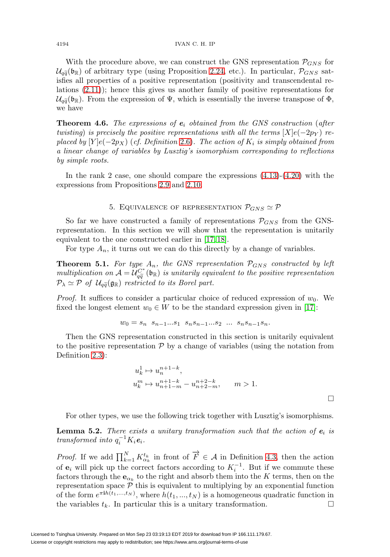With the procedure above, we can construct the GNS representation  $\mathcal{P}_{GNS}$  for With the procedure above, we can construct the GNS representation  $\mathcal{P}_{GNS}$  for  $\mathcal{U}_{q\tilde{q}}(\mathfrak{b}_{\mathbb{R}})$  of arbitrary type (using Proposition [2.24,](#page-9-0) etc.). In particular,  $\mathcal{P}_{GNS}$  satisfies all properties of a positive representation (positivity and transcendental relations [\(2.11\)](#page-5-0)); hence this gives us another family of positive representations for  $\mathcal{U}_{q\widetilde{q}}$ isfie $_{\mathrm{lati}}$  $\mathcal{U}_{q\tilde{q}}(\mathfrak{b}_\mathbb{R})$ . From the expression of  $\Psi$ , which is essentially the inverse transpose of  $\Phi$ , we have

<span id="page-17-1"></span>**Theorem 4.6.** The expressions of  $e_i$  obtained from the GNS construction (after twisting) is precisely the positive representations with all the terms  $[X]e(-2p_Y)$  replaced by  $[Y]e(-2p_X)$  (cf. Definition [2.6\)](#page-5-1). The action of  $K_i$  is simply obtained from a linear change of variables by Lusztig's isomorphism corresponding to reflections by simple roots.

<span id="page-17-0"></span>In the rank 2 case, one should compare the expressions [\(4.13\)](#page-15-0)-[\(4.20\)](#page-16-0) with the expressions from Propositions [2.9](#page-6-3) and [2.10.](#page-6-4)

## 5. EQUIVALENCE OF REPRESENTATION  $P_{GNS} \simeq P$

So far we have constructed a family of representations  $\mathcal{P}_{GNS}$  from the GNSrepresentation. In this section we will show that the representation is unitarily equivalent to the one constructed earlier in [\[17,](#page-22-6) [18\]](#page-22-7).

For type  $A_n$ , it turns out we can do this directly by a change of variables.

**Theorem 5.1.** For type  $A_n$ , the GNS representation  $P_{GNS}$  constructed by left For type  $A_n$ , it turns out we can do this directly by a change of variables.<br> **Theorem 5.1.** For type  $A_n$ , the GNS representation  $\mathcal{P}_{GNS}$  constructed by left multiplication on  $\mathcal{A} = \mathcal{U}_{q\tilde{q}}^{C^*}$  (b<sub>R</sub>) is u **Theorem 5.1.**<br>multiplication c<br> $\mathcal{P}_{\lambda} \simeq \mathcal{P}$  of  $\mathcal{U}_{q\widetilde{q}}$  $\mathcal{P}_{\lambda} \simeq \mathcal{P}$  of  $\mathcal{U}_{q\tilde{q}}(\mathfrak{g}_{\mathbb{R}})$  restricted to its Borel part.

*Proof.* It suffices to consider a particular choice of reduced expression of  $w_0$ . We fixed the longest element  $w_0 \in W$  to be the standard expression given in [\[17\]](#page-22-6):

$$
w_0 = s_n \ s_{n-1}...s_1 \ s_n s_{n-1}...s_2 \ \dots \ s_n s_{n-1} s_n.
$$

Then the GNS representation constructed in this section is unitarily equivalent to the positive representation  $P$  by a change of variables (using the notation from Definition [2.3\)](#page-5-2):

$$
u_k^1 \mapsto u_n^{n+1-k},
$$
  
\n
$$
u_k^m \mapsto u_{n+1-m}^{n+1-k} - u_{n+2-m}^{n+2-k}, \qquad m > 1.
$$

For other types, we use the following trick together with Lusztig's isomorphisms.

 $\Box$ 

**Lemma 5.2.** There exists a unitary transformation such that the action of  $e_i$  is transformed into  $q_i^{-1}K_i$ **e**<sub>i</sub>.

*Proof.* If we add  $\prod_{k=1}^{N} K_{\alpha_k}^{t_k}$  in front of  $\overrightarrow{F} \in \mathcal{A}$  in Definition [4.3,](#page-12-2) then the action of  $\mathbf{e}_i$  will pick up the correct factors according to  $K_i^{-1}$ . But if we commute these factors through the  $\mathbf{e}_{\alpha_k}$  to the right and absorb them into the K terms, then on the representation space  $P$  this is equivalent to multiplying by an exponential function of the form  $e^{\pi i h(t_1,...,t_N)}$ , where  $h(t_1,...,t_N)$  is a homogeneous quadratic function in the variables  $t_k$ . In particular this is a unitary transformation.  $\Box$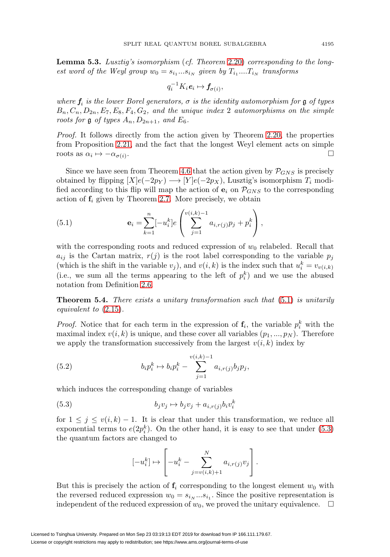**Lemma 5.3.** Lusztig's isomorphism (cf. Theorem [2.20\)](#page-8-4) corresponding to the longest word of the Weyl group  $w_0 = s_{i_1}...s_{i_N}$  given by  $T_{i_1}...T_{i_N}$  transforms

$$
q_i^{-1}K_i\mathbf{e}_i\mapsto \mathbf{f}_{\sigma(i)},
$$

where  $f_i$  is the lower Borel generators,  $\sigma$  is the identity automorphism for g of types  $B_n, C_n, D_{2n}, E_7, E_8, F_4, G_2$ , and the unique index 2 automorphisms on the simple roots for  $\mathfrak g$  of types  $A_n, D_{2n+1}$ , and  $E_6$ .

Proof. It follows directly from the action given by Theorem [2.20,](#page-8-4) the properties from Proposition [2.21,](#page-8-5) and the fact that the longest Weyl element acts on simple roots as  $\alpha_i \mapsto -\alpha_{\sigma(i)}$ .

Since we have seen from Theorem [4.6](#page-17-1) that the action given by  $\mathcal{P}_{GNS}$  is precisely obtained by flipping  $[X]e(-2p_Y) \longrightarrow [Y]e(-2p_X)$ , Lusztig's isomorphism  $T_i$  modified according to this flip will map the action of  $e_i$  on  $\mathcal{P}_{GNS}$  to the corresponding action of  $f_i$  given by Theorem [2.7.](#page-6-5) More precisely, we obtain

<span id="page-18-0"></span>(5.1) 
$$
\mathbf{e}_{i} = \sum_{k=1}^{n} [-u_{i}^{k}] e\left(\sum_{j=1}^{v(i,k)-1} a_{i,r(j)} p_{j} + p_{i}^{k}\right),
$$

with the corresponding roots and reduced expression of  $w_0$  relabeled. Recall that  $a_{ij}$  is the Cartan matrix,  $r(j)$  is the root label corresponding to the variable  $p_j$ (which is the shift in the variable  $v_j$ ), and  $v(i, k)$  is the index such that  $u_i^k = v_{v(i,k)}$ (i.e., we sum all the terms appearing to the left of  $p_i^k$ ) and we use the abused notation from Definition [2.6.](#page-5-1)

**Theorem 5.4.** There exists a unitary transformation such that  $(5.1)$  is unitarily equivalent to [\(2.15\)](#page-6-0).

*Proof.* Notice that for each term in the expression of  $f_i$ , the variable  $p_i^k$  with the maximal index  $v(i, k)$  is unique, and these cover all variables  $(p_1, ..., p_N)$ . Therefore we apply the transformation successively from the largest  $v(i, k)$  index by

(5.2) 
$$
b_i p_i^k \mapsto b_i p_i^k - \sum_{j=1}^{v(i,k)-1} a_{i,r(j)} b_j p_j,
$$

which induces the corresponding change of variables

<span id="page-18-1"></span>(5.3) 
$$
b_j v_j \mapsto b_j v_j + a_{i,r(j)} b_i v_i^k
$$

for  $1 \leq j \leq v(i,k) - 1$ . It is clear that under this transformation, we reduce all exponential terms to  $e(2p_i^k)$ . On the other hand, it is easy to see that under [\(5.3\)](#page-18-1) the quantum factors are changed to

$$
[-u_i^k] \mapsto \left[-u_i^k - \sum_{j=v(i,k)+1}^N a_{i,r(j)}v_j\right].
$$

But this is precisely the action of  $f_i$  corresponding to the longest element  $w_0$  with the reversed reduced expression  $w_0 = s_{i_N}...s_{i_1}$ . Since the positive representation is independent of the reduced expression of  $w_0$ , we proved the unitary equivalence.  $\Box$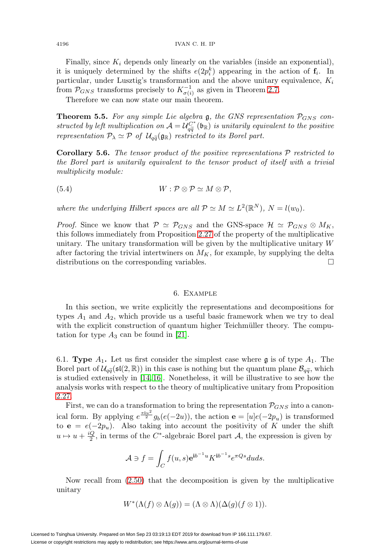Finally, since  $K_i$  depends only linearly on the variables (inside an exponential), it is uniquely determined by the shifts  $e(2p_i^k)$  appearing in the action of  $f_i$ . In particular, under Lusztig's transformation and the above unitary equivalence,  $K_i$ from  $\mathcal{P}_{GNS}$  transforms precisely to  $K_{\sigma(i)}^{-1}$  as given in Theorem [2.7.](#page-6-5)

Therefore we can now state our main theorem.

<span id="page-19-1"></span>**Theorem 5.5.** For any simple Lie algebra  $\mathfrak{g}$ , the GNS representation  $\mathcal{P}_{GNS}$  con-Therefore we can now state our main theorem.<br> **Theorem 5.5.** For any simple Lie algebra  $\mathfrak{g}$ , the GNS representation  $\mathcal{P}_{GNS}$  constructed by left multiplication on  $\mathcal{A} = \mathcal{U}_{q\tilde{q}}^{C^*}(\mathfrak{b}_\mathbb{R})$  is unita **Theorem 5.5.** For any simp<br>structed by left multiplication of<br>representation  $P_{\lambda} \simeq P$  of  $\mathcal{U}_{q\tilde{q}}$ representation  $\mathcal{P}_{\lambda} \simeq \mathcal{P}$  of  $\mathcal{U}_{q\tilde{q}}(\mathfrak{g}_{\mathbb{R}})$  restricted to its Borel part.

<span id="page-19-0"></span>**Corollary 5.6.** The tensor product of the positive representations P restricted to the Borel part is unitarily equivalent to the tensor product of itself with a trivial multiplicity module:

$$
(5.4) \t\t W: \mathcal{P} \otimes \mathcal{P} \simeq M \otimes \mathcal{P},
$$

where the underlying Hilbert spaces are all  $\mathcal{P} \simeq M \simeq L^2(\mathbb{R}^N)$ ,  $N = l(w_0)$ .

*Proof.* Since we know that  $P \simeq P_{GNS}$  and the GNS-space  $\mathcal{H} \simeq P_{GNS} \otimes M_K$ , this follows immediately from Proposition [2.27](#page-10-1) of the property of the multiplicative unitary. The unitary transformation will be given by the multiplicative unitary  $W$ after factoring the trivial intertwiners on  $M_K$ , for example, by supplying the delta distributions on the corresponding variables.  $\Box$ 

### 6. Example

<span id="page-19-2"></span>In this section, we write explicitly the representations and decompositions for types  $A_1$  and  $A_2$ , which provide us a useful basic framework when we try to deal with the explicit construction of quantum higher Teichmüller theory. The computation for type  $A_3$  can be found in [\[21\]](#page-23-17).

6.1. **Type**  $A_1$ . Let us first consider the simplest case where **g** is of type  $A_1$ . The 6.1. **Type**  $A_1$ . Let us first consider the simplest case where **g** is of type  $A_1$ . The Borel part of  $\mathcal{U}_{q\tilde{q}}(\mathfrak{sl}(2,\mathbb{R}))$  in this case is nothing but the quantum plane  $\mathcal{B}_{q\tilde{q}}$ , which is studied extensively in [\[14,](#page-22-11) [16\]](#page-22-16). Nonetheless, it will be illustrative to see how the analysis works with respect to the theory of multiplicative unitary from Proposition [2.27.](#page-10-1)

First, we can do a transformation to bring the representation  $P_{GNS}$  into a canonical form. By applying  $e^{\frac{\pi i u^2}{2}} g_b(e(-2u))$ , the action  $\mathbf{e} = [u]e(-2p_u)$  is transformed to **e** =  $e(-2p_u)$ . Also taking into account the positivity of K under the shift  $u \mapsto u + \frac{iQ}{2}$ , in terms of the C<sup>\*</sup>-algebraic Borel part A, the expression is given by

$$
\mathcal{A} \ni f = \int_C f(u, s) e^{ib^{-1}u} K^{ib^{-1} s} e^{\pi Q s} du ds.
$$

Now recall from [\(2.50\)](#page-9-4) that the decomposition is given by the multiplicative unitary

$$
W^*(\Lambda(f) \otimes \Lambda(g)) = (\Lambda \otimes \Lambda)(\Delta(g)(f \otimes 1)).
$$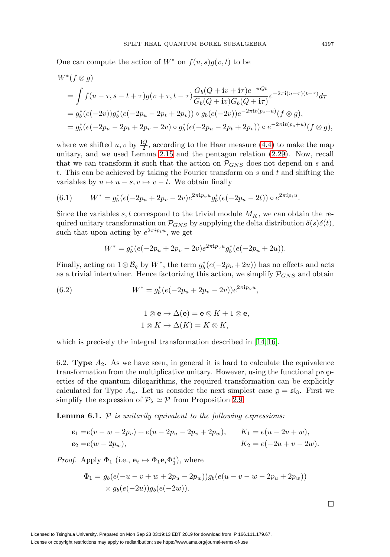One can compute the action of  $W^*$  on  $f(u, s)g(v, t)$  to be

$$
W^*(f \otimes g)
$$
  
=  $\int f(u - \tau, s - t + \tau)g(v + \tau, t - \tau) \frac{G_b(Q + iv + i\tau)e^{-\pi Qt}}{G_b(Q + iv)G_b(Q + i\tau)} e^{-2\pi i(u - \tau)(t - \tau)} d\tau$   
=  $g_b^*(e(-2v))g_b^*(e(-2p_u - 2p_t + 2p_v)) \circ g_b(e(-2v))e^{-2\pi i t(p_s + u)}(f \otimes g),$   
=  $g_b^*(e(-2p_u - 2p_t + 2p_v - 2v) \circ g_b^*(e(-2p_u - 2p_t + 2p_v)) \circ e^{-2\pi i t(p_s + u)}(f \otimes g),$ 

where we shifted  $u, v$  by  $\frac{\mathrm{i}Q}{2}$ , according to the Haar measure [\(4.4\)](#page-12-0) to make the map unitary, and we used Lemma [2.15](#page-7-2) and the pentagon relation [\(2.29\)](#page-8-6). Now, recall that we can transform it such that the action on  $P_{GNS}$  does not depend on s and t. This can be achieved by taking the Fourier transform on  $s$  and  $t$  and shifting the variables by  $u \mapsto u - s, v \mapsto v - t$ . We obtain finally

(6.1) 
$$
W^* = g_b^*(e(-2p_u + 2p_v - 2v)e^{2\pi i p_v u} g_b^*(e(-2p_u - 2t)) \circ e^{2\pi i p_t u}.
$$

Since the variables s, t correspond to the trivial module  $M_K$ , we can obtain the required unitary transformation on  $\mathcal{P}_{GNS}$  by supplying the delta distribution  $\delta(s)\delta(t)$ , such that upon acting by  $e^{2\pi i p_t u}$ , we get

$$
W^* = g_b^*(e(-2p_u + 2p_v - 2v)e^{2\pi i p_v u}g_b^*(e(-2p_u + 2u)).
$$

Finally, acting on  $1 \otimes \mathcal{B}_q$  by  $W^*$ , the term  $g_b^*(e(-2p_u+2u))$  has no effects and acts as a trivial intertwiner. Hence factorizing this action, we simplify  $P_{GNS}$  and obtain

<span id="page-20-0"></span>(6.2) 
$$
W^* = g_b^*(e(-2p_u + 2p_v - 2v))e^{2\pi i p_v u},
$$

$$
1 \otimes e \mapsto \Delta(e) = e \otimes K + 1 \otimes e,
$$

$$
1 \otimes K \mapsto \Delta(K) = K \otimes K,
$$

which is precisely the integral transformation described in  $[14, 16]$  $[14, 16]$ .

6.2. **Type**  $A_2$ . As we have seen, in general it is hard to calculate the equivalence transformation from the multiplicative unitary. However, using the functional properties of the quantum dilogarithms, the required transformation can be explicitly calculated for Type  $A_n$ . Let us consider the next simplest case  $\mathfrak{g} = \mathfrak{sl}_3$ . First we simplify the expression of  $P_{\lambda} \simeq P$  from Proposition [2.9.](#page-6-3)

<span id="page-20-1"></span>**Lemma 6.1.**  $P$  is unitarily equivalent to the following expressions:

$$
e_1 = e(v - w - 2p_v) + e(u - 2p_u - 2p_v + 2p_w), \t K_1 = e(u - 2v + w),
$$
  
\n
$$
e_2 = e(w - 2p_w), \t K_2 = e(-2u + v - 2w).
$$

*Proof.* Apply  $\Phi_1$  (i.e.,  $\mathbf{e}_i \mapsto \Phi_1 \mathbf{e}_i \Phi_1^*$ ), where

$$
\Phi_1 = g_b(e(-u - v + w + 2p_u - 2p_w))g_b(e(u - v - w - 2p_u + 2p_w))
$$
  
 
$$
\times g_b(e(-2u))g_b(e(-2w)).
$$

 $\Box$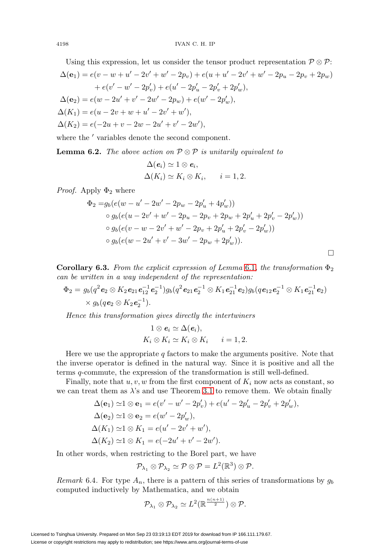Using this expression, let us consider the tensor product representation 
$$
\mathcal{P} \otimes \mathcal{P}
$$
:  
\n
$$
\Delta(\mathbf{e}_1) = e(v - w + u' - 2v' + w' - 2p_v) + e(u + u' - 2v' + w' - 2p_u - 2p_v + 2p_w) + e(v' - w' - 2p'_v) + e(u' - 2p'_u - 2p'_v + 2p'_w),
$$
\n
$$
\Delta(\mathbf{e}_2) = e(w - 2u' + v' - 2w' - 2p_w) + e(w' - 2p'_w),
$$
\n
$$
\Delta(K_1) = e(u - 2v + w + u' - 2v' + w'),
$$
\n
$$
\Delta(K_2) = e(-2u + v - 2w - 2u' + v' - 2w'),
$$

where the  $\prime$  variables denote the second component.

**Lemma 6.2.** The above action on  $\mathcal{P} \otimes \mathcal{P}$  is unitarily equivalent to

$$
\Delta(e_i) \simeq 1 \otimes e_i,
$$
  

$$
\Delta(K_i) \simeq K_i \otimes K_i, \qquad i = 1, 2.
$$

*Proof.* Apply  $\Phi_2$  where

$$
\Phi_2 = g_b(e(w - u' - 2w' - 2p_w - 2p'_u + 4p'_w))
$$
  
\n
$$
\circ g_b(e(u - 2v' + w' - 2p_u - 2p_v + 2p_w + 2p'_u + 2p'_v - 2p'_w))
$$
  
\n
$$
\circ g_b(e(v - w - 2v' + w' - 2p_v + 2p'_u + 2p'_v - 2p'_w))
$$
  
\n
$$
\circ g_b(e(w - 2u' + v' - 3w' - 2p_w + 2p'_w)).
$$

 $\Box$ 

**Corollary 6.3.** From the explicit expression of Lemma [6.1](#page-20-1), the transformation  $\Phi_2$ can be written in a way independent of the representation:

$$
\Phi_2 = g_b(q^2 \mathbf{e}_2 \otimes K_2 \mathbf{e}_{21} \mathbf{e}_{12}^{-1} \mathbf{e}_2^{-1}) g_b(q^2 \mathbf{e}_{21} \mathbf{e}_2^{-1} \otimes K_1 \mathbf{e}_{21}^{-1} \mathbf{e}_2) g_b(q \mathbf{e}_{12} \mathbf{e}_2^{-1} \otimes K_1 \mathbf{e}_{21}^{-1} \mathbf{e}_2) \\ \times g_b(q \mathbf{e}_2 \otimes K_2 \mathbf{e}_2^{-1}).
$$

Hence this transformation gives directly the intertwiners

$$
1 \otimes e_i \simeq \Delta(e_i),
$$
  
\n
$$
K_i \otimes K_i \simeq K_i \otimes K_i \qquad i = 1, 2.
$$

Here we use the appropriate  $q$  factors to make the arguments positive. Note that the inverse operator is defined in the natural way. Since it is positive and all the terms q-commute, the expression of the transformation is still well-defined.

Finally, note that  $u, v, w$  from the first component of  $K_i$  now acts as constant, so we can treat them as  $\lambda$ 's and use Theorem [3.1](#page-11-0) to remove them. We obtain finally

$$
\Delta(\mathbf{e}_1) \simeq 1 \otimes \mathbf{e}_1 = e(v' - w' - 2p'_v) + e(u' - 2p'_u - 2p'_v + 2p'_w),
$$
  
\n
$$
\Delta(\mathbf{e}_2) \simeq 1 \otimes \mathbf{e}_2 = e(w' - 2p'_w),
$$
  
\n
$$
\Delta(K_1) \simeq 1 \otimes K_1 = e(u' - 2v' + w'),
$$
  
\n
$$
\Delta(K_2) \simeq 1 \otimes K_1 = e(-2u' + v' - 2w').
$$

In other words, when restricting to the Borel part, we have

$$
\mathcal{P}_{\lambda_1} \otimes \mathcal{P}_{\lambda_2} \simeq \mathcal{P} \otimes \mathcal{P} = L^2(\mathbb{R}^3) \otimes \mathcal{P}.
$$

Remark 6.4. For type  $A_n$ , there is a pattern of this series of transformations by  $g_b$ computed inductively by Mathematica, and we obtain

$$
\mathcal{P}_{\lambda_1} \otimes \mathcal{P}_{\lambda_2} \simeq L^2(\mathbb{R}^{\frac{n(n+1)}{2}}) \otimes \mathcal{P}.
$$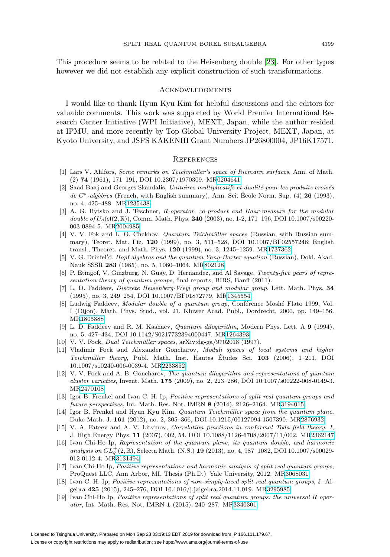This procedure seems to be related to the Heisenberg double [\[23\]](#page-23-18). For other types however we did not establish any explicit construction of such transformations.

## **ACKNOWLEDGMENTS**

I would like to thank Hyun Kyu Kim for helpful discussions and the editors for valuable comments. This work was supported by World Premier International Research Center Initiative (WPI Initiative), MEXT, Japan, while the author resided at IPMU, and more recently by Top Global University Project, MEXT, Japan, at Kyoto University, and JSPS KAKENHI Grant Numbers JP26800004, JP16K17571.

### **REFERENCES**

- <span id="page-22-10"></span>[1] Lars V. Ahlfors, Some remarks on Teichmüller's space of Riemann surfaces, Ann. of Math. (2) **74** (1961), 171–191, DOI 10.2307/1970309. M[R0204641](http://www.ams.org/mathscinet-getitem?mr=0204641)
- <span id="page-22-17"></span>[2] Saad Baaj and Georges Skandalis, Unitaires multiplicatifs et dualité pour les produits croisés de C<sup>∗</sup>-algèbres (French, with English summary), Ann. Sci. École Norm. Sup. (4) **26** (1993), no. 4, 425–488. M[R1235438](http://www.ams.org/mathscinet-getitem?mr=1235438)
- <span id="page-22-5"></span>[3] A. G. Bytsko and J. Teschner, R-operator, co-product and Haar-measure for the modular double of Uq(sl(2, R)), Comm. Math. Phys. **240** (2003), no. 1-2, 171–196, DOI 10.1007/s00220- 003-0894-5. M[R2004985](http://www.ams.org/mathscinet-getitem?mr=2004985)
- <span id="page-22-12"></span>[4] V. V. Fok and L. O. Chekhov, *Quantum Teichmüller spaces* (Russian, with Russian summary), Teoret. Mat. Fiz. **120** (1999), no. 3, 511–528, DOI 10.1007/BF02557246; English transl., Theoret. and Math. Phys. **120** (1999), no. 3, 1245–1259. M[R1737362](http://www.ams.org/mathscinet-getitem?mr=1737362)
- <span id="page-22-0"></span>[5] V. G. Drinfel'd, *Hopf algebras and the quantum Yang-Baxter equation* (Russian), Dokl. Akad. Nauk SSSR **283** (1985), no. 5, 1060–1064. M[R802128](http://www.ams.org/mathscinet-getitem?mr=802128)
- <span id="page-22-1"></span>[6] P. Etingof, V. Ginzburg, N. Guay, D. Hernandez, and Al Savage, Twenty-five years of representation theory of quantum groups, final reports, BIRS, Banff (2011).
- <span id="page-22-3"></span>[7] L. D. Faddeev, Discrete Heisenberg-Weyl group and modular group, Lett. Math. Phys. **34** (1995), no. 3, 249–254, DOI 10.1007/BF01872779. M[R1345554](http://www.ams.org/mathscinet-getitem?mr=1345554)
- <span id="page-22-4"></span>[8] Ludwig Faddeev, *Modular double of a quantum group*, Conférence Moshé Flato 1999, Vol. I (Dijon), Math. Phys. Stud., vol. 21, Kluwer Acad. Publ., Dordrecht, 2000, pp. 149–156. M[R1805888](http://www.ams.org/mathscinet-getitem?mr=1805888)
- <span id="page-22-18"></span>[9] L. D. Faddeev and R. M. Kashaev, Quantum dilogarithm, Modern Phys. Lett. A **9** (1994), no. 5, 427–434, DOI 10.1142/S0217732394000447. M[R1264393](http://www.ams.org/mathscinet-getitem?mr=1264393)
- <span id="page-22-13"></span>[10] V. V. Fock, *Dual Teichmüller spaces*, arXiv:dg-ga/9702018 (1997).
- <span id="page-22-14"></span>[11] Vladimir Fock and Alexander Goncharov, Moduli spaces of local systems and higher Teichmüller theory, Publ. Math. Inst. Hautes Études Sci. 103 (2006), 1–211, DOI 10.1007/s10240-006-0039-4. M[R2233852](http://www.ams.org/mathscinet-getitem?mr=2233852)
- <span id="page-22-15"></span>[12] V. V. Fock and A. B. Goncharov, The quantum dilogarithm and representations of quantum cluster varieties, Invent. Math. **175** (2009), no. 2, 223–286, DOI 10.1007/s00222-008-0149-3. M[R2470108](http://www.ams.org/mathscinet-getitem?mr=2470108)
- <span id="page-22-2"></span>[13] Igor B. Frenkel and Ivan C. H. Ip, Positive representations of split real quantum groups and future perspectives, Int. Math. Res. Not. IMRN **8** (2014), 2126–2164. M[R3194015](http://www.ams.org/mathscinet-getitem?mr=3194015)
- <span id="page-22-11"></span>[14] Igor B. Frenkel and Hyun Kyu Kim, Quantum Teichmüller space from the quantum plane, Duke Math. J. **161** (2012), no. 2, 305–366, DOI 10.1215/00127094-1507390. M[R2876932](http://www.ams.org/mathscinet-getitem?mr=2876932)
- <span id="page-22-9"></span>[15] V. A. Fateev and A. V. Litvinov, Correlation functions in conformal Toda field theory. I, J. High Energy Phys. **11** (2007), 002, 54, DOI 10.1088/1126-6708/2007/11/002. M[R2362147](http://www.ams.org/mathscinet-getitem?mr=2362147)
- <span id="page-22-16"></span>[16] Ivan Chi-Ho Ip, Representation of the quantum plane, its quantum double, and harmonic analysis on  $GL_q^+(2,\mathbb{R})$ , Selecta Math. (N.S.) **19** (2013), no. 4, 987-1082, DOI 10.1007/s00029-012-0112-4. M[R3131494](http://www.ams.org/mathscinet-getitem?mr=3131494)
- <span id="page-22-6"></span>[17] Ivan Chi-Ho Ip, Positive representations and harmonic analysis of split real quantum groups, ProQuest LLC, Ann Arbor, MI. Thesis (Ph.D.)–Yale University, 2012. M[R3068031](http://www.ams.org/mathscinet-getitem?mr=3068031)
- <span id="page-22-7"></span>[18] Ivan C. H. Ip, Positive representations of non-simply-laced split real quantum groups, J. Algebra **425** (2015), 245–276, DOI 10.1016/j.jalgebra.2014.11.019. M[R3295985](http://www.ams.org/mathscinet-getitem?mr=3295985)
- <span id="page-22-8"></span>[19] Ivan Chi-Ho Ip, Positive representations of split real quantum groups: the universal R operator, Int. Math. Res. Not. IMRN **1** (2015), 240–287. M[R3340301](http://www.ams.org/mathscinet-getitem?mr=3340301)